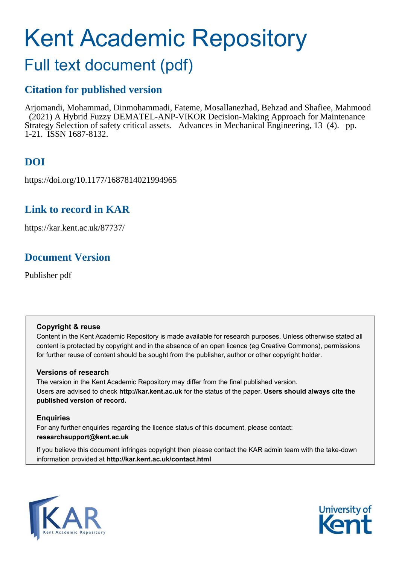# Kent Academic Repository

## Full text document (pdf)

## **Citation for published version**

Arjomandi, Mohammad, Dinmohammadi, Fateme, Mosallanezhad, Behzad and Shafiee, Mahmood (2021) A Hybrid Fuzzy DEMATEL-ANP-VIKOR Decision-Making Approach for Maintenance Strategy Selection of safety critical assets. Advances in Mechanical Engineering, 13 (4). pp. 1-21. ISSN 1687-8132.

## **DOI**

https://doi.org/10.1177/1687814021994965

## **Link to record in KAR**

https://kar.kent.ac.uk/87737/

## **Document Version**

Publisher pdf

#### **Copyright & reuse**

Content in the Kent Academic Repository is made available for research purposes. Unless otherwise stated all content is protected by copyright and in the absence of an open licence (eg Creative Commons), permissions for further reuse of content should be sought from the publisher, author or other copyright holder.

#### **Versions of research**

The version in the Kent Academic Repository may differ from the final published version. Users are advised to check **http://kar.kent.ac.uk** for the status of the paper. **Users should always cite the published version of record.**

#### **Enquiries**

For any further enquiries regarding the licence status of this document, please contact: **researchsupport@kent.ac.uk**

If you believe this document infringes copyright then please contact the KAR admin team with the take-down information provided at **http://kar.kent.ac.uk/contact.html**



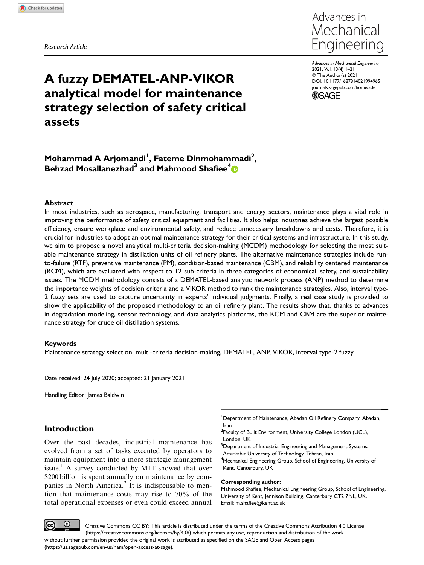Research Article



A fuzzy DEMATEL-ANP-VIKOR analytical model for maintenance strategy selection of safety critical assets

Advances in Mechanical Engineering 2021, Vol. 13(4) 1–21 © The Author(s) 2021 [DOI: 10.1177/1687814021994965](https://doi.org/10.1177/1687814021994965) [journals.sagepub.com/home/ade](https://journals.sagepub.com/home/ade)



#### Mohammad A Arjomandi<sup>1</sup>, Fateme Dinmohammadi<sup>2</sup>, Behzad Mosallanezhad<sup>3</sup> and Mahmood Shafiee<sup>4</sup>

#### Abstract

In most industries, such as aerospace, manufacturing, transport and energy sectors, maintenance plays a vital role in improving the performance of safety critical equipment and facilities. It also helps industries achieve the largest possible efficiency, ensure workplace and environmental safety, and reduce unnecessary breakdowns and costs. Therefore, it is crucial for industries to adopt an optimal maintenance strategy for their critical systems and infrastructure. In this study, we aim to propose a novel analytical multi-criteria decision-making (MCDM) methodology for selecting the most suitable maintenance strategy in distillation units of oil refinery plants. The alternative maintenance strategies include runto-failure (RTF), preventive maintenance (PM), condition-based maintenance (CBM), and reliability centered maintenance (RCM), which are evaluated with respect to 12 sub-criteria in three categories of economical, safety, and sustainability issues. The MCDM methodology consists of a DEMATEL-based analytic network process (ANP) method to determine the importance weights of decision criteria and a VIKOR method to rank the maintenance strategies. Also, interval type-2 fuzzy sets are used to capture uncertainty in experts' individual judgments. Finally, a real case study is provided to show the applicability of the proposed methodology to an oil refinery plant. The results show that, thanks to advances in degradation modeling, sensor technology, and data analytics platforms, the RCM and CBM are the superior maintenance strategy for crude oil distillation systems.

#### Keywords

Maintenance strategy selection, multi-criteria decision-making, DEMATEL, ANP, VIKOR, interval type-2 fuzzy

Date received: 24 July 2020; accepted: 21 January 2021

Handling Editor: James Baldwin

#### Introduction

Over the past decades, industrial maintenance has evolved from a set of tasks executed by operators to maintain equipment into a more strategic management issue.<sup>1</sup> A survey conducted by MIT showed that over \$200 billion is spent annually on maintenance by companies in North America.<sup>2</sup> It is indispensable to mention that maintenance costs may rise to 70% of the total operational expenses or even could exceed annual <sup>1</sup>Department of Maintenance, Abadan Oil Refinery Company, Abadan, Iran

<sup>2</sup> Faculty of Built Environment, University College London (UCL), London, UK

 $3$ Department of Industrial Engineering and Management Systems, Amirkabir University of Technology, Tehran, Iran 4 Mechanical Engineering Group, School of Engineering, University of Kent, Canterbury, UK

#### Corresponding author:

Mahmood Shafiee, Mechanical Engineering Group, School of Engineering, University of Kent, Jennison Building, Canterbury CT2 7NL, UK. Email: m.shafiee@kent.ac.uk

 $\odot$ Creative Commons CC BY: This article is distributed under the terms of the Creative Commons Attribution 4.0 License (https://creativecommons.org/licenses/by/4.0/) which permits any use, reproduction and distribution of the work without further permission provided the original work is attributed as specified on the SAGE and Open Access pages

(https://us.sagepub.com/en-us/nam/open-access-at-sage).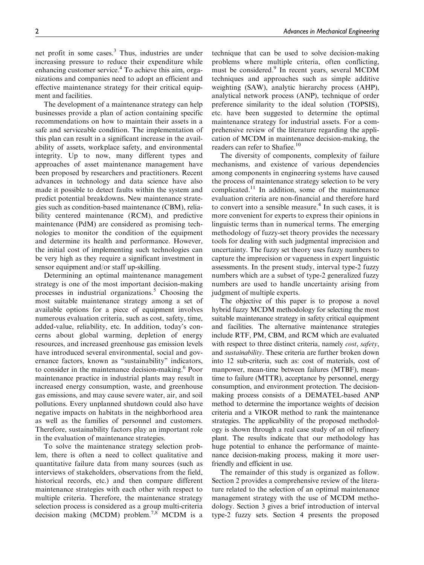net profit in some cases.3 Thus, industries are under increasing pressure to reduce their expenditure while enhancing customer service.<sup>4</sup> To achieve this aim, organizations and companies need to adopt an efficient and effective maintenance strategy for their critical equipment and facilities.

The development of a maintenance strategy can help businesses provide a plan of action containing specific recommendations on how to maintain their assets in a safe and serviceable condition. The implementation of this plan can result in a significant increase in the availability of assets, workplace safety, and environmental integrity. Up to now, many different types and approaches of asset maintenance management have been proposed by researchers and practitioners. Recent advances in technology and data science have also made it possible to detect faults within the system and predict potential breakdowns. New maintenance strategies such as condition-based maintenance (CBM), reliability centered maintenance (RCM), and predictive maintenance (PdM) are considered as promising technologies to monitor the condition of the equipment and determine its health and performance. However, the initial cost of implementing such technologies can be very high as they require a significant investment in sensor equipment and/or staff up-skilling.

Determining an optimal maintenance management strategy is one of the most important decision-making processes in industrial organizations.<sup>5</sup> Choosing the most suitable maintenance strategy among a set of available options for a piece of equipment involves numerous evaluation criteria, such as cost, safety, time, added-value, reliability, etc. In addition, today's concerns about global warming, depletion of energy resources, and increased greenhouse gas emission levels have introduced several environmental, social and governance factors, known as ''sustainability'' indicators, to consider in the maintenance decision-making.<sup>6</sup> Poor maintenance practice in industrial plants may result in increased energy consumption, waste, and greenhouse gas emissions, and may cause severe water, air, and soil pollutions. Every unplanned shutdown could also have negative impacts on habitats in the neighborhood area as well as the families of personnel and customers. Therefore, sustainability factors play an important role in the evaluation of maintenance strategies.

To solve the maintenance strategy selection problem, there is often a need to collect qualitative and quantitative failure data from many sources (such as interviews of stakeholders, observations from the field, historical records, etc.) and then compare different maintenance strategies with each other with respect to multiple criteria. Therefore, the maintenance strategy selection process is considered as a group multi-criteria decision making (MCDM) problem.<sup>7,8</sup> MCDM is a

technique that can be used to solve decision-making problems where multiple criteria, often conflicting, must be considered.<sup>9</sup> In recent years, several MCDM techniques and approaches such as simple additive weighting (SAW), analytic hierarchy process (AHP), analytical network process (ANP), technique of order preference similarity to the ideal solution (TOPSIS), etc. have been suggested to determine the optimal maintenance strategy for industrial assets. For a comprehensive review of the literature regarding the application of MCDM in maintenance decision-making, the readers can refer to Shafiee.<sup>10</sup>

The diversity of components, complexity of failure mechanisms, and existence of various dependencies among components in engineering systems have caused the process of maintenance strategy selection to be very complicated.<sup>11</sup> In addition, some of the maintenance evaluation criteria are non-financial and therefore hard to convert into a sensible measure. $4$  In such cases, it is more convenient for experts to express their opinions in linguistic terms than in numerical terms. The emerging methodology of fuzzy-set theory provides the necessary tools for dealing with such judgmental imprecision and uncertainty. The fuzzy set theory uses fuzzy numbers to capture the imprecision or vagueness in expert linguistic assessments. In the present study, interval type-2 fuzzy numbers which are a subset of type-2 generalized fuzzy numbers are used to handle uncertainty arising from judgment of multiple experts.

The objective of this paper is to propose a novel hybrid fuzzy MCDM methodology for selecting the most suitable maintenance strategy in safety critical equipment and facilities. The alternative maintenance strategies include RTF, PM, CBM, and RCM which are evaluated with respect to three distinct criteria, namely *cost*, *safety*, and sustainability. These criteria are further broken down into 12 sub-criteria, such as: cost of materials, cost of manpower, mean-time between failures (MTBF), meantime to failure (MTTR), acceptance by personnel, energy consumption, and environment protection. The decisionmaking process consists of a DEMATEL-based ANP method to determine the importance weights of decision criteria and a VIKOR method to rank the maintenance strategies. The applicability of the proposed methodology is shown through a real case study of an oil refinery plant. The results indicate that our methodology has huge potential to enhance the performance of maintenance decision-making process, making it more userfriendly and efficient in use.

The remainder of this study is organized as follow. Section 2 provides a comprehensive review of the literature related to the selection of an optimal maintenance management strategy with the use of MCDM methodology. Section 3 gives a brief introduction of interval type-2 fuzzy sets. Section 4 presents the proposed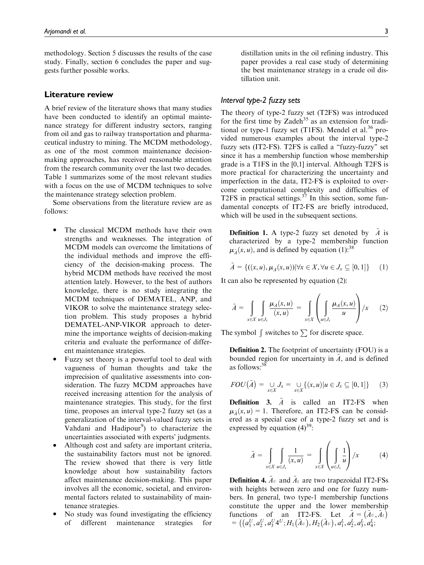methodology. Section 5 discusses the results of the case study. Finally, section 6 concludes the paper and suggests further possible works.

#### Literature review

A brief review of the literature shows that many studies have been conducted to identify an optimal maintenance strategy for different industry sectors, ranging from oil and gas to railway transportation and pharmaceutical industry to mining. The MCDM methodology, as one of the most common maintenance decisionmaking approaches, has received reasonable attention from the research community over the last two decades. Table 1 summarizes some of the most relevant studies with a focus on the use of MCDM techniques to solve the maintenance strategy selection problem.

Some observations from the literature review are as follows:

- $\bullet$  The classical MCDM methods have their own strengths and weaknesses. The integration of MCDM models can overcome the limitations of the individual methods and improve the efficiency of the decision-making process. The hybrid MCDM methods have received the most attention lately. However, to the best of authors knowledge, there is no study integrating the MCDM techniques of DEMATEL, ANP, and VIKOR to solve the maintenance strategy selection problem. This study proposes a hybrid DEMATEL-ANP-VIKOR approach to determine the importance weights of decision-making criteria and evaluate the performance of different maintenance strategies.
- $\bullet$  Fuzzy set theory is a powerful tool to deal with vagueness of human thoughts and take the imprecision of qualitative assessments into consideration. The fuzzy MCDM approaches have received increasing attention for the analysis of maintenance strategies. This study, for the first time, proposes an interval type-2 fuzzy set (as a generalization of the interval-valued fuzzy sets in Vahdani and Hadipour<sup>9</sup>) to characterize the uncertainties associated with experts' judgments.
- $\bullet$  Although cost and safety are important criteria, the sustainability factors must not be ignored. The review showed that there is very little knowledge about how sustainability factors affect maintenance decision-making. This paper involves all the economic, societal, and environmental factors related to sustainability of maintenance strategies.
- $\bullet$  No study was found investigating the efficiency of different maintenance strategies for

distillation units in the oil refining industry. This paper provides a real case study of determining the best maintenance strategy in a crude oil distillation unit.

#### Interval type-2 fuzzy sets

The theory of type-2 fuzzy set (T2FS) was introduced for the first time by Zadeh<sup>35</sup> as an extension for traditional or type-1 fuzzy set (T1FS). Mendel et al.<sup>36</sup> provided numerous examples about the interval type-2 fuzzy sets (IT2-FS). T2FS is called a ''fuzzy-fuzzy'' set since it has a membership function whose membership grade is a T1FS in the [0,1] interval. Although T2FS is more practical for characterizing the uncertainty and imperfection in the data, IT2-FS is exploited to overcome computational complexity and difficulties of T2FS in practical settings.<sup>37</sup> In this section, some fundamental concepts of IT2-FS are briefly introduced, which will be used in the subsequent sections.

**Definition 1.** A type-2 fuzzy set denoted by  $A$  is characterized by a type-2 membership function  $\mu_{\tilde{\mu}}(x, u)$ , and is defined by equation (1):<sup>38</sup>

$$
\tilde{A} = \{((x, u), \mu_A(x, u)) | \forall x \in X, \forall u \in J_x \subseteq [0, 1]\} \qquad (1)
$$

It can also be represented by equation (2):

$$
\tilde{A} = \int_{x \in X} \int_{u \in J_x} \frac{\mu_A(x, u)}{(x, u)} = \int_{x \in X} \left( \int_{u \in J_x} \frac{\mu_A(x, u)}{u} \right) / x \tag{2}
$$

The symbol  $\int$  switches to  $\sum$  for discrete space.

Definition 2. The footprint of uncertainty (FOU) is a bounded region for uncertainty in  $A$ , and is defined as follows:38

$$
FOU(\tilde{A}) = \bigcup_{x \in X} J_x = \bigcup_{x \in X} \{(x, u) | u \in J_x \subseteq [0, 1]\} \tag{3}
$$

**Definition 3.**  $\tilde{A}$  is called an IT2-FS when  $\mu_{\tilde{A}}(x, u) = 1$ . Therefore, an IT2-FS can be considered as a special case of a type-2 fuzzy set and is expressed by equation  $(4)^{39}$ :

$$
\tilde{A} = \int\limits_{x \in X} \int\limits_{u \in J_x} \frac{1}{(x, u)} = \int\limits_{x \in X} \left( \int\limits_{u \in J_x} \frac{1}{u} \right) / x \tag{4}
$$

**Definition 4.**  $Av$  and  $A_L$  are two trapezoidal IT2-FSs with heights between zero and one for fuzzy numbers. In general, two type-1 membership functions constitute the upper and the lower membership functions of an IT2-FS. Let  $\tilde{A} = (\tilde{A}v, \tilde{A}t)$  $= ((a_1^U, a_2^U, a_3^U, a_1^U, H_1(\tilde{A}_v), H_2(\tilde{A}_v), a_1^L, a_2^L, a_3^L, a_4^L)$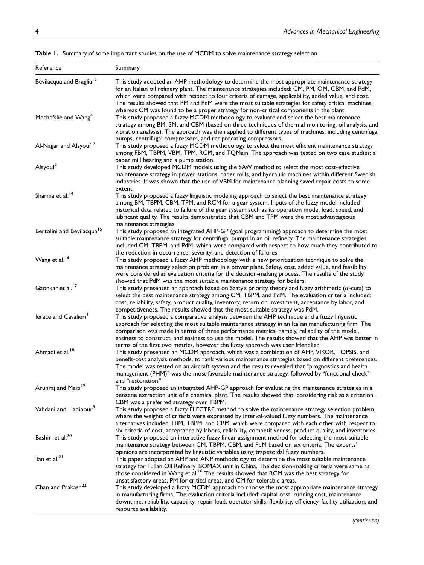| Reference                              | Summary                                                                                                                                                                                                                                                                                                                                                                                                                                                                                      |
|----------------------------------------|----------------------------------------------------------------------------------------------------------------------------------------------------------------------------------------------------------------------------------------------------------------------------------------------------------------------------------------------------------------------------------------------------------------------------------------------------------------------------------------------|
| Bevilacqua and Braglia <sup>12</sup>   | This study adopted an AHP methodology to determine the most appropriate maintenance strategy<br>for an Italian oil refinery plant. The maintenance strategies included: CM, PM, OM, CBM, and PdM,<br>which were compared with respect to four criteria of damage, applicability, added value, and cost.<br>The results showed that PM and PdM were the most suitable strategies for safety critical machines,                                                                                |
| Mechefske and Wang <sup>4</sup>        | whereas CM was found to be a proper strategy for non-critical components in the plant.<br>This study proposed a fuzzy MCDM methodology to evaluate and select the best maintenance<br>strategy among BM, SM, and CBM (based on three techniques of thermal monitoring, oil analysis, and<br>vibration analysis). The approach was then applied to different types of machines, including centrifugal                                                                                         |
| Al-Najjar and Alsyouf <sup>13</sup>    | pumps, centrifugal compressors, and reciprocating compressors.<br>This study proposed a fuzzy MCDM methodology to select the most efficient maintenance strategy<br>among FBM, TBPM, VBM, TPM, RCM, and TQMain. The approach was tested on two case studies: a                                                                                                                                                                                                                               |
| Alsyouf <sup>7</sup>                   | paper mill bearing and a pump station.<br>This study developed MCDM models using the SAW method to select the most cost-effective<br>maintenance strategy in power stations, paper mills, and hydraulic machines within different Swedish<br>industries. It was shown that the use of VBM for maintenance planning saved repair costs to some<br>extent.                                                                                                                                     |
| Sharma et al. <sup>14</sup>            | This study proposed a fuzzy linguistic modeling approach to select the best maintenance strategy<br>among BM, TBPM, CBM, TPM, and RCM for a gear system. Inputs of the fuzzy model included<br>historical data related to failure of the gear system such as its operation mode, load, speed, and<br>lubricant quality. The results demonstrated that CBM and TPM were the most advantageous                                                                                                 |
| Bertolini and Bevilacqua <sup>15</sup> | maintenance strategies.<br>This study proposed an integrated AHP-GP (goal programming) approach to determine the most<br>suitable maintenance strategy for centrifugal pumps in an oil refinery. The maintenance strategies<br>included CM, TBPM, and PdM, which were compared with respect to how much they contributed to<br>the reduction in occurrence, severity, and detection of failures.                                                                                             |
| Wang et al. <sup>16</sup>              | This study proposed a fuzzy AHP methodology with a new prioritization technique to solve the<br>maintenance strategy selection problem in a power plant. Safety, cost, added value, and feasibility<br>were considered as evaluation criteria for the decision-making process. The results of the study<br>showed that PdM was the most suitable maintenance strategy for boilers.                                                                                                           |
| Gaonkar et al. <sup>17</sup>           | This study presented an approach based on Saaty's priority theory and fuzzy arithmetic ( $\alpha$ -cuts) to<br>select the best maintenance strategy among CM, TBPM, and PdM. The evaluation criteria included:<br>cost, reliability, safety, product quality, inventory, return on investment, acceptance by labor, and<br>competitiveness. The results showed that the most suitable strategy was PdM.                                                                                      |
| lerace and Cavalieri <sup>1</sup>      | This study proposed a comparative analysis between the AHP technique and a fuzzy linguistic<br>approach for selecting the most suitable maintenance strategy in an Italian manufacturing firm. The<br>comparison was made in terms of three performance metrics, namely, reliability of the model,<br>easiness to construct, and easiness to use the model. The results showed that the AHP was better in<br>terms of the first two metrics, however the fuzzy approach was user friendlier. |
| Ahmadi et al. <sup>18</sup>            | This study presented an MCDM approach, which was a combination of AHP, VIKOR, TOPSIS, and<br>benefit-cost analysis methods, to rank various maintenance strategies based on different preferences.<br>The model was tested on an aircraft system and the results revealed that "prognostics and health<br>management (PHM)" was the most favorable maintenance strategy, followed by "functional check"<br>and "restoration."                                                                |
| Arunraj and Maiti <sup>19</sup>        | This study proposed an integrated AHP-GP approach for evaluating the maintenance strategies in a<br>benzene extraction unit of a chemical plant. The results showed that, considering risk as a criterion,<br>CBM was a preferred strategy over TBPM.                                                                                                                                                                                                                                        |
| Vahdani and Hadipour <sup>9</sup>      | This study proposed a fuzzy ELECTRE method to solve the maintenance strategy selection problem,<br>where the weights of criteria were expressed by interval-valued fuzzy numbers. The maintenance<br>alternatives included: FBM, TBPM, and CBM, which were compared with each other with respect to<br>six criteria of cost, acceptance by labors, reliability, competitiveness, product quality, and inventories.                                                                           |
| Bashiri et al. <sup>20</sup>           | This study proposed an interactive fuzzy linear assignment method for selecting the most suitable<br>maintenance strategy between CM, TBPM, CBM, and PdM based on six criteria. The experts'<br>opinions are incorporated by linguistic variables using trapezoidal fuzzy numbers.                                                                                                                                                                                                           |
| Tan et al. <sup>21</sup>               | This paper adopted an AHP and ANP methodology to determine the most suitable maintenance<br>strategy for Fujian Oil Refinery ISOMAX unit in China. The decision-making criteria were same as<br>those considered in Wang et al. <sup>16</sup> The results showed that RCM was the best strategy for<br>unsatisfactory areas, PM for critical areas, and CM for tolerable areas.                                                                                                              |
| Chan and Prakash <sup>22</sup>         | This study developed a fuzzy MCDM approach to choose the most appropriate maintenance strategy<br>in manufacturing firms. The evaluation criteria included: capital cost, running cost, maintenance<br>downtime, reliability, capability, repair load, operator skills, flexibility, efficiency, facility utilization, and<br>resource availability.                                                                                                                                         |

Table 1. Summary of some important studies on the use of MCDM to solve maintenance strategy selection.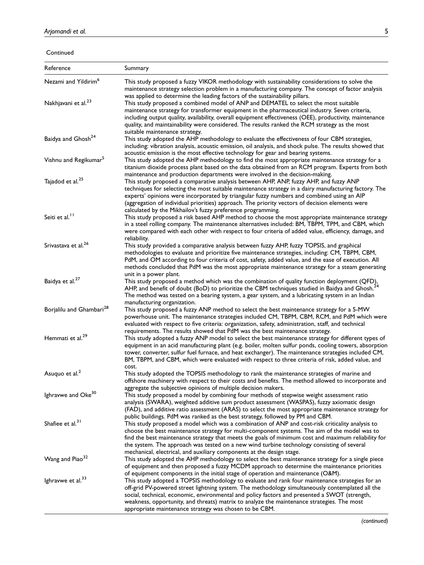Continued

| Reference                            | Summary                                                                                                                                                                                                                                                                                                                                                                                                                                                                           |
|--------------------------------------|-----------------------------------------------------------------------------------------------------------------------------------------------------------------------------------------------------------------------------------------------------------------------------------------------------------------------------------------------------------------------------------------------------------------------------------------------------------------------------------|
| Nezami and Yildirim <sup>6</sup>     | This study proposed a fuzzy VIKOR methodology with sustainability considerations to solve the<br>maintenance strategy selection problem in a manufacturing company. The concept of factor analysis                                                                                                                                                                                                                                                                                |
| Nakhjavani et al. <sup>23</sup>      | was applied to determine the leading factors of the sustainability pillars.<br>This study proposed a combined model of ANP and DEMATEL to select the most suitable<br>maintenance strategy for transformer equipment in the pharmaceutical industry. Seven criteria,<br>including output quality, availability, overall equipment effectiveness (OEE), productivity, maintenance<br>quality, and maintainability were considered. The results ranked the RCM strategy as the most |
| Baidya and Ghosh <sup>24</sup>       | suitable maintenance strategy.<br>This study adopted the AHP methodology to evaluate the effectiveness of four CBM strategies,<br>including: vibration analysis, acoustic emission, oil analysis, and shock pulse. The results showed that<br>acoustic emission is the most effective technology for gear and bearing systems.                                                                                                                                                    |
| Vishnu and Regikumar <sup>5</sup>    | This study adopted the AHP methodology to find the most appropriate maintenance strategy for a<br>titanium dioxide process plant based on the data obtained from an RCM program. Experts from both<br>maintenance and production departments were involved in the decision-making.                                                                                                                                                                                                |
| Tajadod et al. <sup>25</sup>         | This study proposed a comparative analysis between AHP, ANP, fuzzy AHP, and fuzzy ANP<br>techniques for selecting the most suitable maintenance strategy in a dairy manufacturing factory. The<br>experts' opinions were incorporated by triangular fuzzy numbers and combined using an AIP<br>(aggregation of individual priorities) approach. The priority vectors of decision elements were<br>calculated by the Mikhailov's fuzzy preference programming.                     |
| Seiti et al. <sup>11</sup>           | This study proposed a risk based AHP method to choose the most appropriate maintenance strategy<br>in a steel rolling company. The maintenance alternatives included: BM, TBPM, TPM, and CBM, which<br>were compared with each other with respect to four criteria of added value, efficiency, damage, and<br>reliability.                                                                                                                                                        |
| Srivastava et al. <sup>26</sup>      | This study provided a comparative analysis between fuzzy AHP, fuzzy TOPSIS, and graphical<br>methodologies to evaluate and prioritize five maintenance strategies, including: CM, TBPM, CBM,<br>PdM, and OM according to four criteria of cost, safety, added value, and the ease of execution. All<br>methods concluded that PdM was the most appropriate maintenance strategy for a steam generating<br>unit in a power plant.                                                  |
| Baidya et al. <sup>27</sup>          | This study proposed a method which was the combination of quality function deployment (QFD),<br>AHP, and benefit of doubt (BoD) to prioritize the CBM techniques studied in Baidya and Ghosh. <sup>24</sup><br>The method was tested on a bearing system, a gear system, and a lubricating system in an Indian<br>manufacturing organization.                                                                                                                                     |
| Borjalilu and Ghambari <sup>28</sup> | This study proposed a fuzzy ANP method to select the best maintenance strategy for a 5-MW<br>powerhouse unit. The maintenance strategies included CM, TBPM, CBM, RCM, and PdM which were<br>evaluated with respect to five criteria: organization, safety, administration, staff, and technical<br>requirements. The results showed that PdM was the best maintenance strategy.                                                                                                   |
| Hemmati et al. <sup>29</sup>         | This study adopted a fuzzy ANP model to select the best maintenance strategy for different types of<br>equipment in an acid manufacturing plant (e.g. boiler, molten sulfur ponds, cooling towers, absorption<br>tower, converter, sulfur fuel furnace, and heat exchanger). The maintenance strategies included CM,<br>BM, TBPM, and CBM, which were evaluated with respect to three criteria of risk, added value, and<br>cost.                                                 |
| Asuquo et al. <sup>2</sup>           | This study adopted the TOPSIS methodology to rank the maintenance strategies of marine and<br>offshore machinery with respect to their costs and benefits. The method allowed to incorporate and<br>aggregate the subjective opinions of multiple decision makers.                                                                                                                                                                                                                |
| Ighravwe and Oke <sup>30</sup>       | This study proposed a model by combining four methods of stepwise weight assessment ratio<br>analysis (SWARA), weighted additive sum product assessment (WASPAS), fuzzy axiomatic design<br>(FAD), and additive ratio assessment (ARAS) to select the most appropriate maintenance strategy for<br>public buildings. PdM was ranked as the best strategy, followed by PM and CBM.                                                                                                 |
| Shafiee et al. <sup>31</sup>         | This study proposed a model which was a combination of ANP and cost-risk criticality analysis to<br>choose the best maintenance strategy for multi-component systems. The aim of the model was to<br>find the best maintenance strategy that meets the goals of minimum cost and maximum reliability for<br>the system. The approach was tested on a new wind turbine technology consisting of several<br>mechanical, electrical, and auxiliary components at the design stage.   |
| Wang and Piao <sup>32</sup>          | This study adopted the AHP methodology to select the best maintenance strategy for a single piece<br>of equipment and then proposed a fuzzy MCDM approach to determine the maintenance priorities<br>of equipment components in the initial stage of operation and maintenance (O&M).                                                                                                                                                                                             |
| Ighravwe et al. <sup>33</sup>        | This study adopted a TOPSIS methodology to evaluate and rank four maintenance strategies for an<br>off-grid PV-powered street lightning system. The methodology simultaneously contemplated all the<br>social, technical, economic, environmental and policy factors and presented a SWOT (strength,<br>weakness, opportunity, and threats) matrix to analyze the maintenance strategies. The most<br>appropriate maintenance strategy was chosen to be CBM.                      |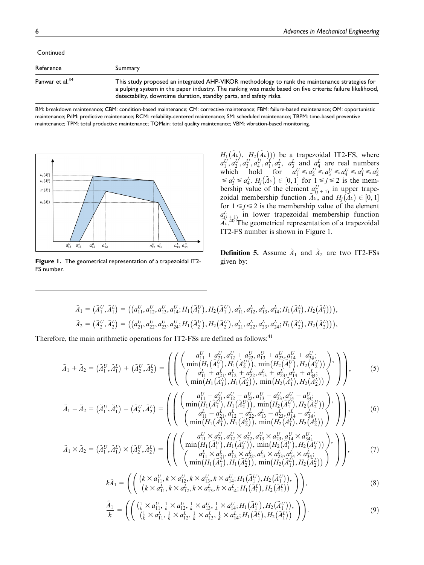| Continued                   |                                                                                                                                                                                                                                                                                  |  |  |  |
|-----------------------------|----------------------------------------------------------------------------------------------------------------------------------------------------------------------------------------------------------------------------------------------------------------------------------|--|--|--|
| Reference                   | Summary                                                                                                                                                                                                                                                                          |  |  |  |
| Panwar et al. <sup>34</sup> | This study proposed an integrated AHP-VIKOR methodology to rank the maintenance strategies for<br>a pulping system in the paper industry. The ranking was made based on five criteria: failure likelihood,<br>detectability, downtime duration, standby parts, and safety risks. |  |  |  |

BM: breakdown maintenance; CBM: condition-based maintenance; CM: corrective maintenance; FBM: failure-based maintenance; OM: opportunistic maintenance; PdM: predictive maintenance; RCM: reliability-centered maintenance; SM: scheduled maintenance; TBPM: time-based preventive maintenance; TPM: total productive maintenance; TQMain: total quality maintenance; VBM: vibration-based monitoring.



Figure 1. The geometrical representation of a trapezoidal IT2-FS number.

 $H_1(\tilde{A}_L), H_2(\tilde{A}_L))$  be a trapezoidal IT2-FS, where  $a_1^U, a_2^U, a_3^U, a_4^U, a_1^L, a_2^L, a_3^L$  and  $a_4^L$  are real numbers which hold for  $a_1^U \le a_2^U \le a_3^U \le a_4^U \le a_1^L \le a_2^L$ <br> $\le a_3^L \le a_4^L$ .  $H_j(\tilde{A}^U) \in [0, 1]$  for  $1 \le j \le 2$  is the membership value of the element  $a_{(j+1)}^U$  in upper trape-<br>raided mombership function  $\tilde{a}$  and  $U(\tilde{a}) \subset [0, 1]$ zoidal membership function  $\tilde{A}^U$ , and  $H_j(\tilde{A}^L) \in [0, 1]$ for  $1 \le j \le 2$  is the membership value of the element  $a_{(j+1)}^L$  in lower trapezoidal membership function  $\tilde{A}^{\nu}$ .<sup>40</sup> The geometrical representation of a trapezoidal IT2-FS number is shown in Figure 1.

**Definition 5.** Assume  $A_1$  and  $A_2$  are two IT2-FSs given by:

$$
\tilde{A}_1 = (\tilde{A}_1^U, \tilde{A}_1^L) = ((a_{11}^U, a_{12}^U, a_{13}^U, a_{14}^U; H_1(\tilde{A}_1^U), H_2(\tilde{A}_1^U), a_{11}^L, a_{12}^L, a_{13}^L, a_{14}^L; H_1(\tilde{A}_1^L), H_2(\tilde{A}_1^L))), \n\tilde{A}_2 = (\tilde{A}_2^U, \tilde{A}_2^L) = ((a_{21}^U, a_{22}^U, a_{23}^U, a_{24}^U; H_1(\tilde{A}_2^U), H_2(\tilde{A}_2^U), a_{21}^L, a_{22}^L, a_{23}^L, a_{24}^L; H_1(\tilde{A}_2^L), H_2(\tilde{A}_2^L))),
$$

Therefore, the main arithmetic operations for IT2-FSs are defined as follows:<sup>41</sup>

$$
\tilde{A}_1 + \tilde{A}_2 = (\tilde{A}_1^U, \tilde{A}_1^L) + (\tilde{A}_2^U, \tilde{A}_2^L) = \left( \begin{pmatrix} a_{11}^U + a_{21}^U, a_{12}^U + a_{22}^U, a_{13}^U + a_{23}^U, a_{14}^U + a_{34}^U; \\ \min(H_1(\tilde{A}_1^U), H_1(\tilde{A}_2^U)), \min(H_2(\tilde{A}_1^U), H_2(\tilde{A}_2^U)) \end{pmatrix}, \left( \begin{matrix} a_{11}^L + a_{21}^L, a_{12}^L + a_{22}^L, a_{13}^L + a_{23}^L, a_{14}^L + a_{34}^L; \\ a_{11}^L + a_{21}^L, a_{12}^L + a_{22}^L, a_{13}^L + a_{23}^L, a_{14}^L + a_{34}^L; \\ \min(H_1(\tilde{A}_1^L), H_1(\tilde{A}_2^L)), \min(H_2(\tilde{A}_1^L), H_2(\tilde{A}_2^L)) \end{pmatrix} \right), \quad (5)
$$

$$
\tilde{A}_1 - \tilde{A}_2 = (\tilde{A}_1^U, \tilde{A}_1^L) - (\tilde{A}_2^U, \tilde{A}_2^L) = \left( \left( \begin{array}{c} a_{11}^U - a_{21}^U, a_{12}^U - a_{22}^U, a_{13}^U - a_{23}^U, a_{14}^U - a_{34}^U; \\ \min(H_1(\tilde{A}_1^U), H_1(\tilde{A}_2^U)), \min(H_2(\tilde{A}_1^U), H_2(\tilde{A}_2^U)) \end{array} \right), \\ \left( \begin{array}{c} a_{11}^L - a_{21}^L, a_{12}^L - a_{22}^L, a_{13}^L - a_{23}^L, a_{14}^L - a_{34}^L; \\ a_{11}^L - a_{21}^L, a_{12}^L - a_{22}^L, a_{13}^L - a_{23}^L, a_{14}^L - a_{34}^L; \\ \min(H_1(\tilde{A}_1^L), H_1(\tilde{A}_2^L)), \min(H_2(\tilde{A}_1^L), H_2(\tilde{A}_2^L)) \end{array} \right), \tag{6}
$$

$$
\tilde{A}_1 \times \tilde{A}_2 = (\tilde{A}_1^U, \tilde{A}_1^L) \times (\tilde{A}_2^U, \tilde{A}_2^L) = \left( \left( \begin{array}{c} a_{11}^U \times a_{21}^U, a_{12}^U \times a_{22}^U, a_{13}^U \times a_{23}^U, a_{14}^U \times a_{34}^U; \\ \min(H_1(\tilde{A}_1^U), H_1(\tilde{A}_2^U)), \min(H_2(\tilde{A}_1^U), H_2(\tilde{A}_2^U)) \end{array} \right), \\ \left( \begin{array}{c} a_{11}^U \times a_{21}^U, a_{12}^U \times a_{22}^U, a_{13}^U \times a_{23}^U, a_{14}^U \times a_{34}^U; \\ a_{11}^U \times a_{21}^L, a_{12}^L \times a_{22}^L, a_{13}^L \times a_{23}^L, a_{14}^L \times a_{34}^L; \\ \min(H_1(\tilde{A}_1^U), H_1(\tilde{A}_2^U)), \min(H_2(\tilde{A}_1^U), H_2(\tilde{A}_2^U)) \end{array} \right), \tag{7}
$$

$$
k\tilde{A}_1 = \left( \left( \begin{array}{c} (k \times a_{11}^U, k \times a_{12}^U, k \times a_{13}^U, k \times a_{14}^U; H_1(\tilde{A}_1^U), H_2(\tilde{A}_1^U)), \\ (k \times a_{11}^L, k \times a_{12}^L, k \times a_{13}^L, k \times a_{14}^L; H_1(\tilde{A}_1^L), H_2(\tilde{A}_1^L)) \end{array} \right) \right),
$$
\n(8)

$$
\frac{\tilde{A}_1}{k} = \left( \left( \frac{\left( \frac{1}{k} \times a_{11}^U, \frac{1}{k} \times a_{12}^U, \frac{1}{k} \times a_{13}^U, \frac{1}{k} \times a_{14}^U; H_1(\tilde{A}_1^U), H_2(\tilde{A}_1^U) \right),}{\left( \frac{1}{k} \times a_{11}^L, \frac{1}{k} \times a_{12}^L, \frac{1}{k} \times a_{13}^L, \frac{1}{k} \times a_{14}^L; H_1(\tilde{A}_1^L), H_2(\tilde{A}_1^L) \right) \right). \tag{9}
$$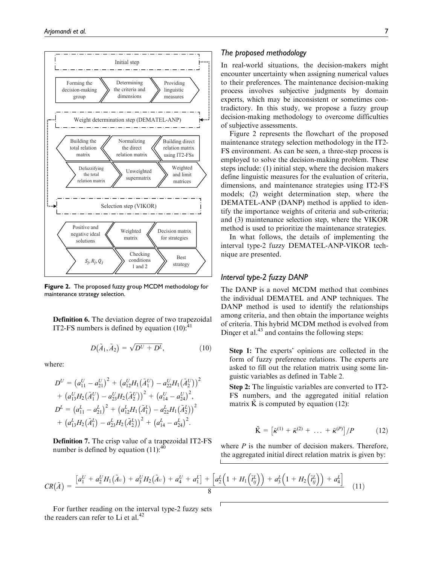

Figure 2. The proposed fuzzy group MCDM methodology for maintenance strategy selection.

Definition 6. The deviation degree of two trapezoidal IT2-FS numbers is defined by equation  $(10)$ :<sup>41</sup>

$$
D(\tilde{A}_1, \tilde{A}_2) = \sqrt{D^U + D^L}, \qquad (10)
$$

where:

$$
D^{U} = (a_{11}^{U} - a_{21}^{U})^{2} + (a_{12}^{U}H_{1}(\tilde{A}_{1}^{U}) - a_{22}^{U}H_{1}(\tilde{A}_{2}^{U}))^{2}
$$
  
+ 
$$
(a_{13}^{U}H_{2}(\tilde{A}_{1}^{U}) - a_{23}^{U}H_{2}(\tilde{A}_{2}^{U}))^{2} + (a_{14}^{U} - a_{24}^{U})^{2},
$$
  

$$
D^{L} = (a_{11}^{L} - a_{21}^{L})^{2} + (a_{12}^{L}H_{1}(\tilde{A}_{1}^{L}) - a_{22}^{L}H_{1}(\tilde{A}_{2}^{L}))^{2}
$$
  
+ 
$$
(a_{13}^{L}H_{2}(\tilde{A}_{1}^{L}) - a_{23}^{L}H_{2}(\tilde{A}_{2}^{L}))^{2} + (a_{14}^{L} - a_{24}^{L})^{2}.
$$

Definition 7. The crisp value of a trapezoidal IT2-FS number is defined by equation  $(11)$ :<sup>40</sup>

#### The proposed methodology

In real-world situations, the decision-makers might encounter uncertainty when assigning numerical values to their preferences. The maintenance decision-making process involves subjective judgments by domain experts, which may be inconsistent or sometimes contradictory. In this study, we propose a fuzzy group decision-making methodology to overcome difficulties of subjective assessments.

Figure 2 represents the flowchart of the proposed maintenance strategy selection methodology in the IT2- FS environment. As can be seen, a three-step process is employed to solve the decision-making problem. These steps include: (1) initial step, where the decision makers define linguistic measures for the evaluation of criteria, dimensions, and maintenance strategies using IT2-FS models; (2) weight determination step, where the DEMATEL-ANP (DANP) method is applied to identify the importance weights of criteria and sub-criteria; and (3) maintenance selection step, where the VIKOR method is used to prioritize the maintenance strategies.

In what follows, the details of implementing the interval type-2 fuzzy DEMATEL-ANP-VIKOR technique are presented.

#### Interval type-2 fuzzy DANP

The DANP is a novel MCDM method that combines the individual DEMATEL and ANP techniques. The DANP method is used to identify the relationships among criteria, and then obtain the importance weights of criteria. This hybrid MCDM method is evolved from Dincer et al. $43$  and contains the following steps:

Step 1: The experts' opinions are collected in the form of fuzzy preference relations. The experts are asked to fill out the relation matrix using some linguistic variables as defined in Table 2.

Step 2: The linguistic variables are converted to IT2- FS numbers, and the aggregated initial relation matrix K is computed by equation  $(12)$ :

$$
\tilde{\mathbf{K}} = \left[ \tilde{\kappa}^{(1)} + \tilde{\kappa}^{(2)} + \ldots + \tilde{\kappa}^{(P)} \right] / P \tag{12}
$$

where  $P$  is the number of decision makers. Therefore, the aggregated initial direct relation matrix is given by:

$$
CR(\tilde{A}) = \frac{[a_1^U + a_2^U H_1(\tilde{A}v) + a_3^U H_2(\tilde{A}v) + a_4^U + a_1^L] + [a_2^L(1 + H_1(\tilde{t}_y^L)) + a_3^L(1 + H_2(\tilde{t}_y^L)) + a_4^L]}{8}
$$
(11)

For further reading on the interval type-2 fuzzy sets the readers can refer to Li et al. $42$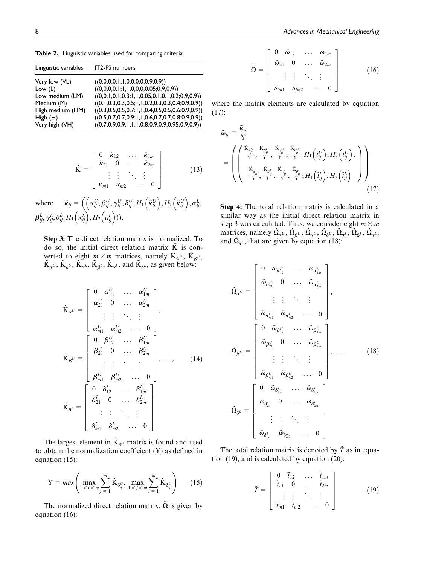Table 2. Linguistic variables used for comparing criteria.

| Linguistic variables | <b>IT2-FS numbers</b>                                        |
|----------------------|--------------------------------------------------------------|
| Very low (VL)        | ((0,0,0,0;1,1,0,0,0,0;0.9,0.9))                              |
| Low $(L)$            | ((0,0,0,0.1;1,1,0,0,0,0.05;0.9,0.9))                         |
| Low medium (LM)      | $((0,0.1,0.1,0.3;1,1,0.05,0.1,0.1,0.2;0.9,0.9))$             |
| Medium (M)           | $((0.1, 0.3, 0.3, 0.5, 1, 1, 0.2, 0.3, 0.3, 0.4, 0.9, 0.9))$ |
| High medium (HM)     | $((0.3, 0.5, 0.5, 0.7; 1, 1, 0.4, 0.5, 0.5, 0.6; 0.9, 0.9))$ |
| High (H)             | $((0.5, 0.7, 0.7, 0.9; 1, 1, 0.6, 0.7, 0.7, 0.8; 0.9, 0.9))$ |
| Very high (VH)       | $((0.7, 0.9, 0.9; 1, 1, 1, 0.8, 0.9, 0.9, 0.95; 0.9, 0.9))$  |

$$
\tilde{\mathbf{K}} = \begin{bmatrix} 0 & \tilde{\kappa}_{12} & \dots & \tilde{\kappa}_{1m} \\ \tilde{\kappa}_{21} & 0 & \dots & \tilde{\kappa}_{2m} \\ \vdots & \vdots & \ddots & \vdots \\ \tilde{\kappa}_{m1} & \tilde{\kappa}_{m2} & \dots & 0 \end{bmatrix}
$$
 (13)

where  $\tilde{\kappa}_{ij} = \left( \left( \alpha_{ij}^U, \beta_{ij}^U, \gamma_{ij}^U, \delta_{ij}^U; H_1 \left( \tilde{\kappa}_{ij}^U \right), H_2 \left( \tilde{\kappa}_{ij}^U \right), \alpha_{ij}^L, \right. \right)$  $\overline{1}$  $\beta_{ij}^L, \gamma_{ij}^L, \delta_{ij}^L; H_1 \Bigl(\tilde{\kappa}_{ij}^L \Bigr), H_2 \Bigl(\tilde{\kappa}_{ij}^L \Bigr) ) .$ 

Step 3: The direct relation matrix is normalized. To do so, the initial direct relation matrix  $\tilde{K}$  is converted to eight  $m \times m$  matrices, namely  $\tilde{K}_{\alpha}$ ,  $\tilde{K}_{\beta}$ ,  $\tilde{K}_{\gamma^U}$ ,  $\tilde{K}_{\delta^U}$ ,  $\tilde{K}_{\alpha^L}$ ,  $\tilde{K}_{\beta^L}$ ,  $\tilde{K}_{\gamma^L}$ , and  $\tilde{K}_{\delta^L}$ , as given below:

$$
\tilde{\mathbf{K}}_{\alpha} = \begin{bmatrix}\n0 & \alpha_{12}^U & \dots & \alpha_{1m}^U \\
\alpha_{21}^U & 0 & \dots & \alpha_{2m}^U \\
\vdots & \vdots & \ddots & \vdots \\
\alpha_{m1}^U & \alpha_{m2}^U & \dots & 0\n\end{bmatrix},
$$
\n
$$
\tilde{\mathbf{K}}_{\beta} = \begin{bmatrix}\n0 & \beta_{12}^U & \dots & \beta_{1m}^U \\
\beta_{21}^U & 0 & \dots & \beta_{2m}^U \\
\vdots & \vdots & \ddots & \vdots \\
\beta_{m1}^U & \beta_{m2}^U & \dots & 0\n\end{bmatrix}, \dots, \qquad (14)
$$
\n
$$
\tilde{\mathbf{K}}_{\delta^L} = \begin{bmatrix}\n0 & \delta_{12}^L & \dots & \delta_{1m}^L \\
\delta_{21}^U & 0 & \dots & \delta_{2m}^L \\
\vdots & \vdots & \ddots & \vdots \\
\delta_{m1}^L & \delta_{m2}^L & \dots & 0\n\end{bmatrix}
$$

The largest element in  $\tilde{K}_{\delta^U}$  matrix is found and used to obtain the normalization coefficient  $(Y)$  as defined in equation (15):

$$
Y = \max\left(\max_{1 \leq i \leq m} \sum_{j=1}^{m} \tilde{K}_{\delta_{ij}^U}, \max_{1 \leq j \leq m} \sum_{i=1}^{m} \tilde{K}_{\delta_{ij}^U}\right) \qquad (15)
$$

The normalized direct relation matrix,  $\tilde{\Omega}$  is given by equation (16):

$$
\tilde{\Omega} = \left[ \begin{array}{cccc} 0 & \tilde{\omega}_{12} & \dots & \tilde{\omega}_{1m} \\ \tilde{\omega}_{21} & 0 & \dots & \tilde{\omega}_{2m} \\ \vdots & \vdots & \ddots & \vdots \\ \tilde{\omega}_{m1} & \tilde{\omega}_{m2} & \dots & 0 \end{array} \right] \tag{16}
$$

where the matrix elements are calculated by equation (17):

$$
\tilde{\omega}_{ij} = \frac{\tilde{\kappa}_{ij}}{\Upsilon} \n= \left( \begin{pmatrix} \tilde{\kappa}_{a_{ij}^U} & \tilde{\kappa}_{b_{ij}^U} & \tilde{\kappa}_{s_{ij}^U} & \tilde{\kappa}_{s_{ij}^U} \\ \frac{\tilde{\kappa}_{a_{ij}^U}}{\Upsilon} & \tilde{\kappa}_{b_{ij}^L} & \tilde{\kappa}_{s_{ij}^U} & \tilde{\kappa}_{s_{ij}^U} \\ \frac{\tilde{\kappa}_{a_{ij}^L}}{\Upsilon} & \frac{\tilde{\kappa}_{b_{ij}^L}}{\Upsilon} & \frac{\tilde{\kappa}_{b_{ij}^L}}{\Upsilon} & \tilde{\kappa}_{s_{ij}^L} \\ \frac{\tilde{\kappa}_{a_{ij}^L}}{\Upsilon} & \frac{\tilde{\kappa}_{s_{ij}^L}}{\Upsilon} & \frac{\tilde{\kappa}_{s_{ij}^L}}{\Upsilon} & H_1(\tilde{t}_{ij}^L), H_2(\tilde{t}_{ij}^L) \end{pmatrix} \right)
$$
\n(17)

Step 4: The total relation matrix is calculated in a similar way as the initial direct relation matrix in step 3 was calculated. Thus, we consider eight  $m \times m$ matrices, namely  $\tilde{\Omega}_{\alpha^U}, \tilde{\Omega}_{\beta^U}, \tilde{\Omega}_{\gamma^U}, \tilde{\Omega}_{\delta^U}, \tilde{\Omega}_{\alpha^L}, \tilde{\Omega}_{\beta^L}, \tilde{\Omega}_{\gamma^L},$ and  $\tilde{\Omega}_{\delta^L}$ , that are given by equation (18):

$$
\tilde{\Omega}_{\alpha^{U}} = \begin{bmatrix}\n0 & \tilde{\omega}_{\alpha^{U}_{12}} & \cdots & \tilde{\omega}_{\alpha^{U}_{1m}} \\
\tilde{\omega}_{\alpha^{U}_{21}} & 0 & \cdots & \tilde{\omega}_{\alpha^{U}_{2m}} \\
\vdots & \vdots & \ddots & \vdots \\
\tilde{\omega}_{\alpha^{U}_{m1}} & \tilde{\omega}_{\alpha^{U}_{m2}} & \cdots & 0\n\end{bmatrix},
$$
\n
$$
\tilde{\Omega}_{\beta^{U}} = \begin{bmatrix}\n0 & \tilde{\omega}_{\beta^{U}_{12}} & \cdots & \tilde{\omega}_{\beta^{U}_{1m}} \\
\tilde{\omega}_{\beta^{U}_{21}} & 0 & \cdots & \tilde{\omega}_{\beta^{U}_{2m}} \\
\vdots & \vdots & \ddots & \vdots \\
\tilde{\omega}_{\beta^{U}_{m1}} & \tilde{\omega}_{\beta^{U}_{m2}} & \cdots & 0\n\end{bmatrix}, \dots, (18)
$$
\n
$$
\tilde{\Omega}_{\delta^{L}} = \begin{bmatrix}\n0 & \tilde{\omega}_{\delta^{L}_{12}} & \cdots & \tilde{\omega}_{\delta^{L}_{1m}} \\
\tilde{\omega}_{\delta^{L}_{21}} & 0 & \cdots & \tilde{\omega}_{\delta^{L}_{2m}} \\
\vdots & \vdots & \ddots & \vdots \\
\tilde{\omega}_{\delta^{L}_{m1}} & \tilde{\omega}_{\delta^{L}_{m2}} & \cdots & 0\n\end{bmatrix}
$$

The total relation matrix is denoted by  $\tilde{T}$  as in equation (19), and is calculated by equation (20):

$$
\tilde{T} = \begin{bmatrix} 0 & \tilde{t}_{12} & \dots & \tilde{t}_{1m} \\ \tilde{t}_{21} & 0 & \dots & \tilde{t}_{2m} \\ \vdots & \vdots & \ddots & \vdots \\ \tilde{t}_{m1} & \tilde{t}_{m2} & \dots & 0 \end{bmatrix}
$$
 (19)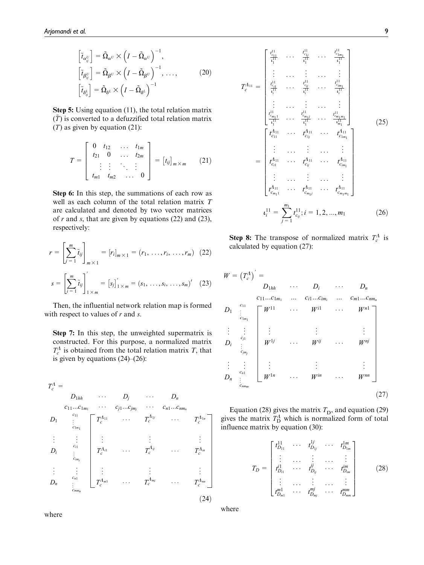$$
\begin{aligned}\n\left[\tilde{t}_{\alpha_{ij}^U}\right] &= \tilde{\Omega}_{\alpha^U} \times \left(I - \tilde{\Omega}_{\alpha^U}\right)^{-1}, \\
\left[\tilde{t}_{\beta_{ij}^U}\right] &= \tilde{\Omega}_{\beta^U} \times \left(I - \tilde{\Omega}_{\beta^U}\right)^{-1}, \dots, \\
\left[\tilde{t}_{\delta_{ij}^L}\right] &= \tilde{\Omega}_{\delta^L} \times \left(I - \tilde{\Omega}_{\delta^L}\right)^{-1}\n\end{aligned} \tag{20}
$$

Step 5: Using equation (11), the total relation matrix  $(\tilde{T})$  is converted to a defuzzified total relation matrix ( $T$ ) as given by equation (21):

$$
T = \begin{bmatrix} 0 & t_{12} & \dots & t_{1m} \\ t_{21} & 0 & \dots & t_{2m} \\ \vdots & \vdots & \ddots & \vdots \\ t_{m1} & t_{m2} & \dots & 0 \end{bmatrix} = [t_{ij}]_{m \times m}
$$
 (21)

Step 6: In this step, the summations of each row as well as each column of the total relation matrix T are calculated and denoted by two vector matrices of  $r$  and  $s$ , that are given by equations (22) and (23), respectively:

$$
r = \left[\sum_{j=1}^{m} \tilde{t}_{ij}\right]_{m \times 1} = [r_{i}]_{m \times 1} = (r_{1}, \dots, r_{i}, \dots, r_{m}) \quad (22)
$$

$$
s = \left[\sum_{i=1}^{m} \tilde{t}_{ij}\right]_{1 \times m}' = [s_{j}]_{1 \times m}' = (s_{1}, \dots, s_{i}, \dots, s_{m})' \quad (23)
$$

Then, the influential network relation map is formed with respect to values of  $r$  and  $s$ .

Step 7: In this step, the unweighted supermatrix is constructed. For this purpose, a normalized matrix  $T_c^{\Lambda}$  is obtained from the total relation matrix T, that is given by equations (24)–(26):

$$
T_c^A =
$$
\n
$$
D_{1hh} \cdots D_j \cdots D_n
$$
\n
$$
c_{11}...c_{1m_1} \cdots c_{j1}...c_{jm_j} \cdots c_{n1}...c_{mn_n}
$$
\n
$$
D_1 \vdots \vdots \vdots \vdots \vdots \vdots \vdots \vdots
$$
\n
$$
D_i \vdots \vdots \vdots \vdots \vdots \vdots \vdots \vdots
$$
\n
$$
D_i \vdots \vdots \vdots \vdots \vdots \vdots \vdots
$$
\n
$$
T_c^{A_{i1}} \cdots T_c^{A_{ij}} \cdots T_c^{A_{in}}
$$
\n
$$
\vdots \vdots \vdots \vdots \vdots \vdots
$$
\n
$$
D_n \vdots \vdots \vdots \vdots \vdots \vdots
$$
\n
$$
T_c^{A_{m1}} \cdots T_c^{A_{mj}} \cdots T_c^{A_{mn}}
$$
\n(24)

$$
T_{c}^{A_{11}} = \begin{bmatrix} t_{c_{11}}^{11} & \cdots & t_{c_{1r}}^{11} & \cdots & t_{c_{1m_{1}}}^{11} \\ \vdots & \cdots & \vdots & \cdots & \vdots \\ t_{c_{11}}^{11} & \cdots & t_{c_{ij}}^{11} & \cdots & t_{c_{mn_{1}}}^{11} \\ \vdots & \cdots & \vdots & \cdots & \vdots \\ t_{c_{m_{1}}1}^{11} & \cdots & t_{c_{m_{1}}}^{11} & \cdots & t_{c_{m_{1}m_{1}}}^{11} \\ \vdots & \cdots & \vdots & \cdots & \vdots \\ t_{c_{m_{1}1}}^{11} & \cdots & t_{c_{1}1}^{11} & \cdots & t_{c_{1m_{1}}}^{11} \\ \vdots & \cdots & \vdots & \cdots & \vdots \\ t_{c_{11}}^{A_{11}} & \cdots & t_{c_{1}1}^{A_{11}} & \cdots & t_{c_{1m_{1}}}^{A_{11}} \\ \vdots & \cdots & \vdots & \cdots & \vdots \\ t_{c_{n_{1}}1}^{A_{11}} & \cdots & t_{c_{n_{1}}}^{A_{11}} & \cdots & t_{c_{m_{1}m_{1}}}^{A_{11}} \\ \vdots & \cdots & \vdots & \cdots & \vdots \\ t_{c_{m_{1}1}}^{A_{11}} & \cdots & t_{c_{m_{1}}1}^{A_{11}} & \cdots & t_{c_{m_{1}m_{1}}}^{A_{11}} \end{bmatrix}
$$
\n
$$
\iota_{i}^{11} = \sum_{j=1}^{m_{1}} t_{c_{j}}^{11} ; i = 1, 2, ..., m_{1}
$$
\n(26)

**Step 8:** The transpose of normalized matrix  $T_c^{\Lambda}$  is calculated by equation (27):

$$
W = (T_c^{\Lambda})^{\prime} =
$$
\n
$$
D_{1hh} \cdots D_i \cdots D_n
$$
\n
$$
C_{11}...C_{1m_1} ... C_{i1}...C_{im_i} ... C_{m1}...C_{nm_n}
$$
\n
$$
D_1 \vdots \vdots \vdots \vdots \vdots \vdots \vdots \vdots
$$
\n
$$
D_i \vdots \vdots \vdots \vdots \vdots \vdots \vdots \vdots
$$
\n
$$
D_i \vdots \vdots \vdots \vdots \vdots \vdots \vdots \vdots
$$
\n
$$
D_n \vdots \vdots \vdots \vdots \vdots \vdots \vdots \vdots
$$
\n
$$
D_n \vdots \vdots \vdots \vdots \vdots \vdots \vdots \vdots \vdots
$$
\n
$$
W^{1n} \cdots W^{in} \cdots W^{mn}
$$
\n(27)

Equation (28) gives the matrix  $T<sub>D</sub>$ , and equation (29) gives the matrix  $T_{\text{D}}^{\text{A}}$  which is normalized form of total influence matrix by equation (30):

$$
T_{D} = \begin{bmatrix} t_{D_{11}}^{11} & \cdots & t_{D_{1j}}^{1j} & \cdots & t_{D_{1m}}^{1m} \\ \vdots & \cdots & \vdots & \cdots & \vdots \\ t_{D_{i1}}^{i1} & \cdots & t_{D_{ij}}^{ij} & \cdots & t_{D_{im}}^{im} \\ \vdots & \cdots & \vdots & \cdots & \vdots \\ t_{D_{m1}}^{m1} & \cdots & t_{D_{mj}}^{mj} & \cdots & t_{D_{mm}}^{mm} \end{bmatrix}
$$
 (28)

where

where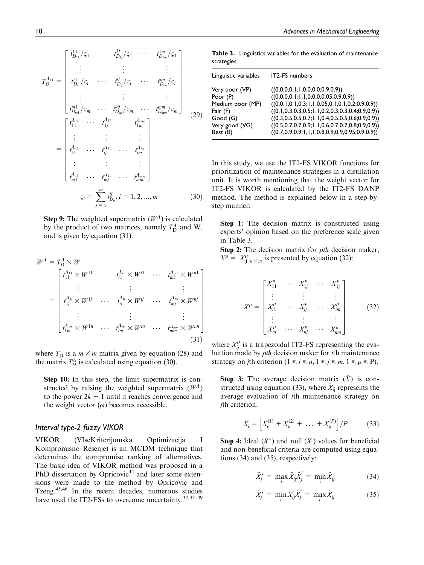$$
T_{D}^{A_{11}} = \begin{bmatrix} t_{D_{11}}^{11} / \varsigma_1 & \cdots & t_{D_{1y}}^{1y} / \varsigma_1 & \cdots & t_{D_{1m}}^{1m} / \varsigma_1 \\ \vdots & \vdots & \vdots & \vdots \\ t_{D_{n1}}^{11} / \varsigma_i & \cdots & t_{D_{y}}^{y} / \varsigma_i & \cdots & t_{D_{nm}}^{m} / \varsigma_i \\ \vdots & \vdots & \vdots & \vdots \\ t_{D_{m1}}^{m1} / \varsigma_m & \cdots & t_{D_{my}}^{m1} / \varsigma_m & \cdots & t_{D_{mm}}^{m1} / \varsigma_m \end{bmatrix} \tag{29}
$$

$$
= \begin{bmatrix} t_{11}^{A_{11}} & \cdots & t_{1j}^{A_{1y}} & \cdots & t_{1m}^{A_{1m}} \\ \vdots & \vdots & \vdots & \vdots \\ t_{i1}^{A_{11}} & \cdots & t_{ij}^{A_{11}} & \cdots & t_{im}^{A_{im}} \\ \vdots & \vdots & \vdots & \vdots \\ t_{m1}^{A_{11}} & \cdots & t_{mj}^{A_{11}} & \cdots & t_{mm}^{A_{mm}} \end{bmatrix}
$$

$$
\varsigma_i = \sum_{j=1}^{m} t_{D_{ij}}^{ij}, i = 1, 2, ..., m \tag{30}
$$

**Step 9:** The weighted supermatrix  $(W<sup>A</sup>)$  is calculated by the product of two matrices, namely  $T_{\text{D}}^A$  and W, and is given by equation (31):

$$
W^{A} = T_{D}^{A} \times W
$$
\n
$$
= \begin{bmatrix}\n t_{11}^{A_{11}} \times W^{11} & \cdots & t_{i1}^{A_{i1}} \times W^{i1} & \cdots & t_{m1}^{A_{m1}} \times W^{n1} \\
 \vdots & \vdots & & \vdots \\
 t_{1j}^{A_{1j}} \times W^{1j} & \cdots & t_{ij}^{A_{ij}} \times W^{ij} & \cdots & t_{mj}^{A_{mj}} \times W^{nj} \\
 \vdots & \vdots & & \vdots \\
 t_{1m}^{A_{1m}} \times W^{1n} & \cdots & t_{im}^{A_{im}} \times W^{in} & \cdots & t_{mm}^{A_{mm}} \times W^{nn}\n \end{bmatrix}
$$
\n(31)

where  $T_D$  is a  $m \times m$  matrix given by equation (28) and the matrix  $T_D^{\Lambda}$  is calculated using equation (30).

Step 10: In this step, the limit supermatrix is constructed by raising the weighted supermatrix  $(W<sup>A</sup>)$ to the power  $2k + 1$  until it reaches convergence and the weight vector  $(\omega)$  becomes accessible.

#### Interval type-2 fuzzy VIKOR

VIKOR (VIseKriterijumska Optimizacija I Kompromisno Resenje) is an MCDM technique that determines the compromise ranking of alternatives. The basic idea of VIKOR method was proposed in a PhD dissertation by Opricovic<sup>44</sup> and later some extensions were made to the method by Opricovic and Tzeng.45,46 In the recent decades, numerous studies have used the IT2-FSs to overcome uncertainty.<sup>37,47-49</sup>

Table 3. Linguistics variables for the evaluation of maintenance strategies.

| Linguistic variables                                                                                | IT2-FS numbers                                                                                                                                                                                                                                                                                                                                                                             |
|-----------------------------------------------------------------------------------------------------|--------------------------------------------------------------------------------------------------------------------------------------------------------------------------------------------------------------------------------------------------------------------------------------------------------------------------------------------------------------------------------------------|
| Very poor (VP)<br>Poor (P)<br>Medium poor (MP)<br>Fair (F)<br>Good(G)<br>Very good (VG)<br>Best (B) | ((0,0,0,0;1,1,0,0,0,0;0.9,0.9))<br>((0,0,0,0.1;1,1,0,0,0,0.05;0.9,0.9))<br>$((0,0.1,0.1,0.3;1,1,0.05,0.1,0.1,0.2;0.9,0.9))$<br>$((0.1, 0.3, 0.3, 0.5; 1, 1, 0.2, 0.3, 0.3, 0.4; 0.9, 0.9))$<br>$((0.3, 0.5, 0.5, 0.7; 1, 1, 0.4, 0.5, 0.5, 0.6; 0.9, 0.9))$<br>$((0.5, 0.7, 0.7, 0.9; 1, 1, 0.6, 0.7, 0.7, 0.8; 0.9, 0.9))$<br>$((0.7, 0.9, 0.9; 1, 1, 1, 0.8, 0.9, 0.9, 0.95; 0.9, 0.9))$ |
|                                                                                                     |                                                                                                                                                                                                                                                                                                                                                                                            |

In this study, we use the IT2-FS VIKOR functions for prioritization of maintenance strategies in a distillation unit. It is worth mentioning that the weight vector for IT2-FS VIKOR is calculated by the IT2-FS DANP method. The method is explained below in a step-bystep manner:

Step 1: The decision matrix is constructed using experts' opinion based on the preference scale given in Table 3.

Step 2: The decision matrix for  $\rho th$  decision maker,  $X^{\rho} = [X^{\rho}_{ij}]_{n \times m}$  is presented by equation (32):

$$
X^{\rho} = \begin{bmatrix} X_{11}^{\rho} & \cdots & X_{1j}^{\rho} & \cdots & X_{1j}^{\rho} \\ \vdots & & \vdots & & \vdots \\ X_{i1}^{\rho} & \cdots & X_{ij}^{\rho} & \cdots & X_{im}^{\rho} \\ \vdots & & \vdots & & \vdots \\ X_{nj}^{\rho} & \cdots & X_{nj}^{\rho} & \cdots & X_{nm}^{\rho} \end{bmatrix}
$$
 (32)

where  $X_{ij}^{\rho}$  is a trapezoidal IT2-FS representing the evaluation made by  $\rho$ th decision maker for *i*th maintenance strategy on *j*th criterion  $(1 \le i \le n, 1 \le j \le m, 1 \le \rho \le P)$ .

**Step 3:** The average decision matrix  $(\tilde{X})$  is constructed using equation (33), where  $\tilde{X}_{ii}$  represents the average evaluation of ith maintenance strategy on jth criterion.

$$
\tilde{X}_{ij} = \left[ X_{ij}^{(1)} + X_{ij}^{(2)} + \ldots + X_{ij}^{(P)} \right] / P \tag{33}
$$

**Step 4:** Ideal  $(X^*)$  and null  $(X^*)$  values for beneficial and non-beneficial criteria are computed using equations (34) and (35), respectively:

$$
\tilde{X}_j^* = \max_i \tilde{X}_{ij}^* \tilde{X}_j^* = \min_i \tilde{X}_{ij}
$$
\n(34)

$$
\tilde{X}_j^* = \min_i \tilde{X}_{ij}^* \tilde{X}_j^* = \max_i \tilde{X}_{ij}
$$
\n(35)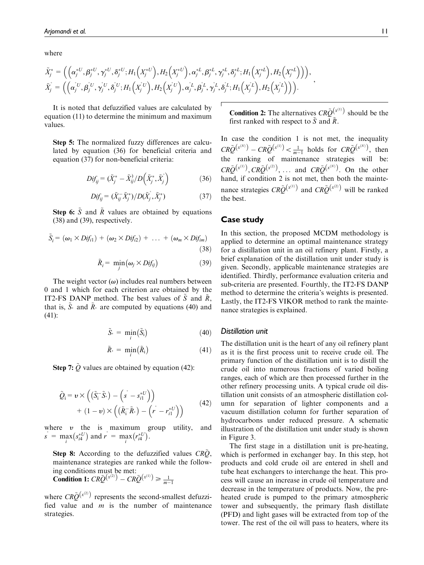where

$$
\tilde{X}_{j}^{*} = \left( \left( \alpha_{j}^{*U}, \beta_{j}^{*U}, \gamma_{j}^{*U}, \delta_{j}^{*U}; H_{1}\left(X_{j}^{*U}\right), H_{2}\left(X_{j}^{*U}\right), \alpha_{j}^{*L}, \beta_{j}^{*L}, \gamma_{j}^{*L}, \delta_{j}^{*L}; H_{1}\left(X_{j}^{*L}\right), H_{2}\left(X_{j}^{*L}\right) \right) \right), \tilde{X}_{j}^{*} = \left( \left( \alpha_{j}^{*U}, \beta_{j}^{*U}, \gamma_{j}^{*U}, \delta_{j}^{*U}; H_{1}\left(X_{j}^{*U}\right), H_{2}\left(X_{j}^{*U}\right), \alpha_{j}^{*L}, \beta_{j}^{*L}, \gamma_{j}^{L}, \delta_{j}^{*L}; H_{1}\left(X_{j}^{*L}\right), H_{2}\left(X_{j}^{*L}\right) \right) \right).
$$

It is noted that defuzzified values are calculated by equation (11) to determine the minimum and maximum values.

Step 5: The normalized fuzzy differences are calculated by equation (36) for beneficial criteria and equation (37) for non-beneficial criteria:

$$
Dif_{ij} = (\tilde{X}_j^* - \tilde{X}_{ij}^{\prime}) D(\tilde{X}_j^*, \tilde{X}_j^*)
$$
\n(36)

$$
Dif_{ij} = (\tilde{X}_{ij} - \tilde{X}_j^*)/D(\tilde{X}_j, \tilde{X}_j^*)
$$
\n(37)

**Step 6:**  $\tilde{S}$  and  $\tilde{R}$  values are obtained by equations (38) and (39), respectively.

$$
\tilde{S}_i = (\omega_1 \times Dif_{i1}) + (\omega_2 \times Dif_{i2}) + \ldots + (\omega_m \times Dif_{im})
$$
\n(38)

$$
\tilde{R}_i = \min_j (\omega_j \times Dif_{ij}) \tag{39}
$$

The weight vector  $(\omega)$  includes real numbers between 0 and 1 which for each criterion are obtained by the IT2-FS DANP method. The best values of S and  $\tilde{R}$ , that is,  $S_{\ast}$  and  $\tilde{R}_{\ast}$  are computed by equations (40) and (41):

$$
\tilde{S}_{*} = \min_{i} (\tilde{S}_{i}) \tag{40}
$$

$$
\tilde{R}_{*} = \min_{i} (\tilde{R}_{i}) \tag{41}
$$

**Step 7:**  $\tilde{Q}$  values are obtained by equation (42):

$$
\tilde{Q}_{i} = \boldsymbol{v} \times \left( (\tilde{S}_{i}^{-} \tilde{S}_{*}) - (\stackrel{\circ}{s} - s_{i1}^{*U}) \right) \n+ (1 - \boldsymbol{v}) \times \left( (\tilde{R}_{i}^{-} \tilde{R}_{*}) - (\stackrel{\circ}{r} - r_{i1}^{*U}) \right)
$$
\n(42)

where  $v$  the is maximum group utility, and  $s \sim \max_i (s_{i4}^*$  $(s_{i4}^{*U})$  and  $r = \max_{i} (r_{i4}^{*U})$  $(r_{i4}^{*U})$ .

Step 8: According to the defuzzified values  $CRO$ . maintenance strategies are ranked while the following conditions must be met: **Condition 1:**  $CR\tilde{Q}^{(x^{(2)})} - CR\tilde{Q}^{(x^{(1)})} \ge \frac{1}{m-1}$ 

where  $CR\tilde{Q}^{(x^{(2)})}$  represents the second-smallest defuzzified value and  $m$  is the number of maintenance strategies.

**Condition 2:** The alternatives  $CR\tilde{O}^{(x^{(1)})}$  should be the first ranked with respect to  $\tilde{S}$  and  $\tilde{R}$ .

In case the condition 1 is not met, the inequality  $CR\tilde{Q}^{(x^{(N)})} - CR\tilde{Q}^{(x^{(1)})} < \frac{1}{m-1}$  holds for  $CR\tilde{Q}^{(x^{(N)})}$ , then the ranking of maintenance strategies will be:  $CR\tilde{Q}^{(x^{(1)})}, CR\tilde{Q}^{(x^{(2)})}, \ldots$  and  $CR\tilde{Q}^{(x^{(N)})}$ . On the other hand, if condition 2 is not met, then both the maintenance strategies  $CR\tilde{O}^{(x^{(1)})}$  and  $CR\tilde{O}^{(x^{(2)})}$  will be ranked the best.

#### Case study

In this section, the proposed MCDM methodology is applied to determine an optimal maintenance strategy for a distillation unit in an oil refinery plant. Firstly, a brief explanation of the distillation unit under study is given. Secondly, applicable maintenance strategies are identified. Thirdly, performance evaluation criteria and sub-criteria are presented. Fourthly, the IT2-FS DANP method to determine the criteria's weights is presented. Lastly, the IT2-FS VIKOR method to rank the maintenance strategies is explained.

#### Distillation unit

The distillation unit is the heart of any oil refinery plant as it is the first process unit to receive crude oil. The primary function of the distillation unit is to distill the crude oil into numerous fractions of varied boiling ranges, each of which are then processed further in the other refinery processing units. A typical crude oil distillation unit consists of an atmospheric distillation column for separation of lighter components and a vacuum distillation column for further separation of hydrocarbons under reduced pressure. A schematic illustration of the distillation unit under study is shown in Figure 3.

The first stage in a distillation unit is pre-heating, which is performed in exchanger bay. In this step, hot products and cold crude oil are entered in shell and tube heat exchangers to interchange the heat. This process will cause an increase in crude oil temperature and decrease in the temperature of products. Now, the preheated crude is pumped to the primary atmospheric tower and subsequently, the primary flash distillate (PFD) and light gases will be extracted from top of the tower. The rest of the oil will pass to heaters, where its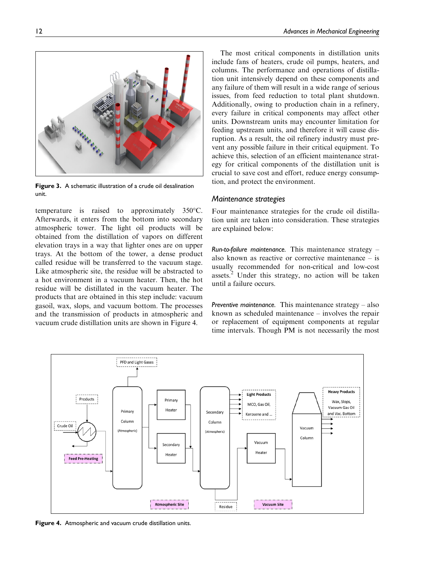The most critical components in distillation units include fans of heaters, crude oil pumps, heaters, and columns. The performance and operations of distillation unit intensively depend on these components and any failure of them will result in a wide range of serious issues, from feed reduction to total plant shutdown. Additionally, owing to production chain in a refinery, every failure in critical components may affect other units. Downstream units may encounter limitation for feeding upstream units, and therefore it will cause disruption. As a result, the oil refinery industry must prevent any possible failure in their critical equipment. To achieve this, selection of an efficient maintenance strategy for critical components of the distillation unit is crucial to save cost and effort, reduce energy consumption, and protect the environment.

#### Maintenance strategies

Four maintenance strategies for the crude oil distillation unit are taken into consideration. These strategies are explained below:

Run-to-failure maintenance. This maintenance strategy  $$ also known as reactive or corrective maintenance – is usually recommended for non-critical and low-cost assets. $2$  Under this strategy, no action will be taken until a failure occurs.

Preventive maintenance. This maintenance strategy  $-$  also known as scheduled maintenance – involves the repair or replacement of equipment components at regular time intervals. Though PM is not necessarily the most

PFD and Light Gases **Heavy Products Light Products** Products Priman Wax, Slops MCO Gas Oil Vacuum Gas Oil Heate Primary Secondary Kerosene and and Vac. Bottom  $C_{\text{O}}$ umn Columr Crude Oil Vacuum (Atmospheric) (Atmospheric) Column Vacuum Secondar Heater Heate **Feed Pre-Heating Atmospheric Site Vacuum Site** 

Residue

Figure 4. Atmospheric and vacuum crude distillation units.

Figure 3. A schematic illustration of a crude oil desalination unit.

temperature is raised to approximately  $350^{\circ}$ C. Afterwards, it enters from the bottom into secondary atmospheric tower. The light oil products will be obtained from the distillation of vapors on different elevation trays in a way that lighter ones are on upper trays. At the bottom of the tower, a dense product called residue will be transferred to the vacuum stage. Like atmospheric site, the residue will be abstracted to a hot environment in a vacuum heater. Then, the hot residue will be distillated in the vacuum heater. The products that are obtained in this step include: vacuum gasoil, wax, slops, and vacuum bottom. The processes and the transmission of products in atmospheric and vacuum crude distillation units are shown in Figure 4.

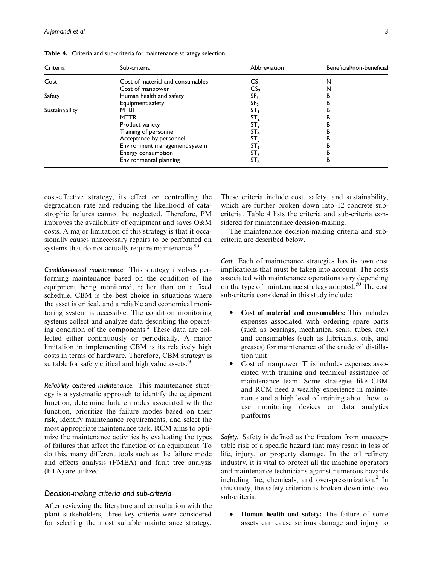| Criteria       | Sub-criteria                                                                                                                                                         | Abbreviation      | Beneficial/non-beneficial |
|----------------|----------------------------------------------------------------------------------------------------------------------------------------------------------------------|-------------------|---------------------------|
| Cost           | Cost of material and consumables                                                                                                                                     | $\mathsf{CS}_{1}$ | N                         |
|                | Cost of manpower                                                                                                                                                     | CS <sub>2</sub>   | N                         |
| Safety         |                                                                                                                                                                      | SF <sub>I</sub>   |                           |
|                | Equipment safety                                                                                                                                                     | SF <sub>2</sub>   |                           |
| Sustainability | <b>MTBF</b>                                                                                                                                                          | ST <sub>1</sub>   |                           |
|                | Human health and safety<br><b>MTTR</b><br>Product variety<br>Training of personnel<br>Acceptance by personnel<br>Environment management system<br>Energy consumption | ST <sub>2</sub>   |                           |
|                |                                                                                                                                                                      | ST <sub>3</sub>   |                           |
|                |                                                                                                                                                                      | ST <sub>4</sub>   |                           |
|                |                                                                                                                                                                      | ST <sub>5</sub>   |                           |
|                |                                                                                                                                                                      | ST <sub>6</sub>   |                           |
|                |                                                                                                                                                                      | ST <sub>7</sub>   | в                         |
|                | Environmental planning                                                                                                                                               | $ST_8$            | в                         |

Table 4. Criteria and sub-criteria for maintenance strategy selection.

cost-effective strategy, its effect on controlling the degradation rate and reducing the likelihood of catastrophic failures cannot be neglected. Therefore, PM improves the availability of equipment and saves O&M costs. A major limitation of this strategy is that it occasionally causes unnecessary repairs to be performed on systems that do not actually require maintenance.<sup>50</sup>

Condition-based maintenance. This strategy involves performing maintenance based on the condition of the equipment being monitored, rather than on a fixed schedule. CBM is the best choice in situations where the asset is critical, and a reliable and economical monitoring system is accessible. The condition monitoring systems collect and analyze data describing the operating condition of the components.<sup>2</sup> These data are collected either continuously or periodically. A major limitation in implementing CBM is its relatively high costs in terms of hardware. Therefore, CBM strategy is suitable for safety critical and high value assets.<sup>50</sup>

Reliability centered maintenance. This maintenance strategy is a systematic approach to identify the equipment function, determine failure modes associated with the function, prioritize the failure modes based on their risk, identify maintenance requirements, and select the most appropriate maintenance task. RCM aims to optimize the maintenance activities by evaluating the types of failures that affect the function of an equipment. To do this, many different tools such as the failure mode and effects analysis (FMEA) and fault tree analysis (FTA) are utilized.

#### Decision-making criteria and sub-criteria

After reviewing the literature and consultation with the plant stakeholders, three key criteria were considered for selecting the most suitable maintenance strategy. These criteria include cost, safety, and sustainability, which are further broken down into 12 concrete subcriteria. Table 4 lists the criteria and sub-criteria considered for maintenance decision-making.

The maintenance decision-making criteria and subcriteria are described below.

Cost. Each of maintenance strategies has its own cost implications that must be taken into account. The costs associated with maintenance operations vary depending on the type of maintenance strategy adopted.<sup>50</sup> The cost sub-criteria considered in this study include:

- $\bullet$  Cost of material and consumables: This includes expenses associated with ordering spare parts (such as bearings, mechanical seals, tubes, etc.) and consumables (such as lubricants, oils, and greases) for maintenance of the crude oil distillation unit.
- $\bullet$  Cost of manpower: This includes expenses associated with training and technical assistance of maintenance team. Some strategies like CBM and RCM need a wealthy experience in maintenance and a high level of training about how to use monitoring devices or data analytics platforms.

Safety. Safety is defined as the freedom from unacceptable risk of a specific hazard that may result in loss of life, injury, or property damage. In the oil refinery industry, it is vital to protect all the machine operators and maintenance technicians against numerous hazards including fire, chemicals, and over-pressurization.<sup>2</sup> In this study, the safety criterion is broken down into two sub-criteria:

 $\bullet$ Human health and safety: The failure of some assets can cause serious damage and injury to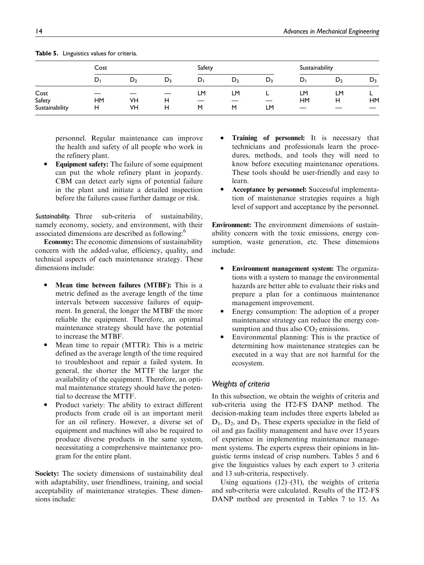|                | Cost      |    | Safety |    |       | Sustainability |           |    |           |
|----------------|-----------|----|--------|----|-------|----------------|-----------|----|-----------|
|                | D,        | D, | $D_3$  | D, | $D_2$ | $D_3$          | D,        | D, | $D_3$     |
| Cost           |           |    |        | LM | LM    |                | LM        | LM |           |
| Safety         | <b>HM</b> | VH | н      | –  |       |                | <b>HM</b> | н  | <b>HM</b> |
| Sustainability | н         | VH | н      | M  | M     | LM             |           |    |           |

Table 5. Linguistics values for criteria.

personnel. Regular maintenance can improve the health and safety of all people who work in the refinery plant.

 $\bullet$  Equipment safety: The failure of some equipment can put the whole refinery plant in jeopardy. CBM can detect early signs of potential failure in the plant and initiate a detailed inspection before the failures cause further damage or risk.

Sustainability. Three sub-criteria of sustainability, namely economy, society, and environment, with their associated dimensions are described as following:<sup>6</sup>

Economy: The economic dimensions of sustainability concern with the added-value, efficiency, quality, and technical aspects of each maintenance strategy. These dimensions include:

- $\bullet$  Mean time between failures (MTBF): This is a metric defined as the average length of the time intervals between successive failures of equipment. In general, the longer the MTBF the more reliable the equipment. Therefore, an optimal maintenance strategy should have the potential to increase the MTBF.
- $\bullet$  Mean time to repair (MTTR): This is a metric defined as the average length of the time required to troubleshoot and repair a failed system. In general, the shorter the MTTF the larger the availability of the equipment. Therefore, an optimal maintenance strategy should have the potential to decrease the MTTF.
- $\bullet$  Product variety: The ability to extract different products from crude oil is an important merit for an oil refinery. However, a diverse set of equipment and machines will also be required to produce diverse products in the same system, necessitating a comprehensive maintenance program for the entire plant.

Society: The society dimensions of sustainability deal with adaptability, user friendliness, training, and social acceptability of maintenance strategies. These dimensions include:

- $\bullet$  Training of personnel: It is necessary that technicians and professionals learn the procedures, methods, and tools they will need to know before executing maintenance operations. These tools should be user-friendly and easy to learn.
- $\bullet$  Acceptance by personnel: Successful implementation of maintenance strategies requires a high level of support and acceptance by the personnel.

Environment: The environment dimensions of sustainability concern with the toxic emissions, energy consumption, waste generation, etc. These dimensions include:

- $\bullet$  Environment management system: The organizations with a system to manage the environmental hazards are better able to evaluate their risks and prepare a plan for a continuous maintenance management improvement.
- $\bullet$  Energy consumption: The adoption of a proper maintenance strategy can reduce the energy consumption and thus also  $CO<sub>2</sub>$  emissions.
- $\bullet$  Environmental planning: This is the practice of determining how maintenance strategies can be executed in a way that are not harmful for the ecosystem.

#### Weights of criteria

In this subsection, we obtain the weights of criteria and sub-criteria using the IT2-FS DANP method. The decision-making team includes three experts labeled as  $D_1$ ,  $D_2$ , and  $D_3$ . These experts specialize in the field of oil and gas facility management and have over 15 years of experience in implementing maintenance management systems. The experts express their opinions in linguistic terms instead of crisp numbers. Tables 5 and 6 give the linguistics values by each expert to 3 criteria and 13 sub-criteria, respectively.

Using equations  $(12)$ – $(31)$ , the weights of criteria and sub-criteria were calculated. Results of the IT2-FS DANP method are presented in Tables 7 to 15. As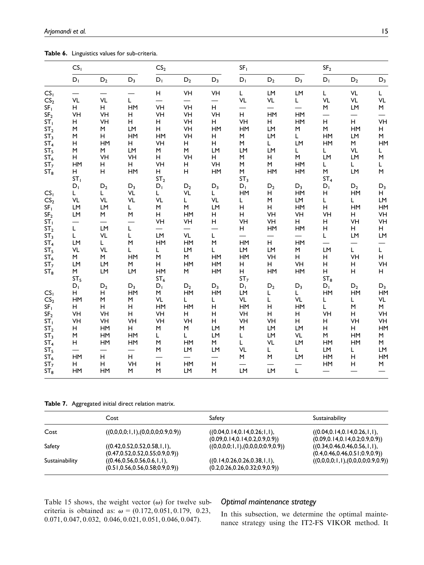Table 6. Linguistics values for sub-criteria.

|                                                       | CS <sub>1</sub>            |                |                     | CS <sub>2</sub>            |                |               |                           | SF <sub>1</sub> |                |                           | SF <sub>2</sub>                                                                                                      |                |
|-------------------------------------------------------|----------------------------|----------------|---------------------|----------------------------|----------------|---------------|---------------------------|-----------------|----------------|---------------------------|----------------------------------------------------------------------------------------------------------------------|----------------|
|                                                       | $D_1$                      | $D_2$          | $D_3$               | $D_1$                      | $D_2$          | $D_3$         | $D_1$                     | $\mathsf{D}_2$  | $D_3$          | $D_1$                     | $D_2$                                                                                                                | $D_3$          |
| CS <sub>1</sub><br>CS <sub>2</sub>                    | <b>VL</b>                  | VL             | L.                  | H                          | VH             | VH            | L<br>VL                   | LM<br>VL        | LM<br>L        | L<br>VL                   | <b>VL</b><br>VL                                                                                                      | L<br><b>VL</b> |
| SF <sub>1</sub><br>SF <sub>2</sub>                    | н<br>VH                    | н<br>VH        | HM<br>н             | VH<br>VH                   | VH<br>VH       | H<br>VH       | H                         | HM              | HM             | M                         | LM                                                                                                                   | M              |
| ST <sub>1</sub><br>ST <sub>2</sub>                    | Н<br>M                     | VH<br>M<br>н   | н<br>LM<br>HM       | н<br>H                     | VH<br>VH<br>VH | н<br>HM<br>н  | VH<br>HM                  | н<br>LM         | HM<br>M<br>L.  | H<br>M<br>HM              | H<br>HM                                                                                                              | VH<br>н<br>M   |
| ST <sub>3</sub><br>ST <sub>4</sub><br>ST <sub>5</sub> | M<br>Н<br>M                | <b>HM</b><br>M | н<br><b>LM</b>      | HM<br>VH<br>М              | н<br>M         | н<br>LM       | M<br>M<br>LM              | LM<br>L<br>LM   | LM<br>L.       | HM<br>L.                  | LM<br>M<br>VL                                                                                                        | HM<br>L        |
| $\bar{\text{ST}_6}$<br>$\text{ST}_7$                  | н<br>HM                    | VH<br>н        | VH<br>н             | H.<br>VH                   | VH<br>Н        | H<br>VH       | M<br>M                    | H<br>M          | M<br>HM        | LM<br>Г                   | LM<br>L.                                                                                                             | M<br>L         |
| ST <sub>8</sub>                                       | H<br>ST <sub>1</sub>       | н              | HM                  | н<br>ST <sub>2</sub>       | Н              | HM            | M<br>ST <sub>3</sub>      | <b>HM</b>       | HM             | M<br>ST <sub>4</sub>      | LM                                                                                                                   | M              |
| CS <sub>1</sub>                                       | $D_1$<br>L.                | $D_2$<br>L.    | $D_3$<br>VL         | $D_1$<br>L                 | $D_2$<br>VL    | $D_3$<br>L.   | $D_1$<br>HM               | $D_2$<br>н      | $D_3$<br>HM    | $D_1$<br>н                | $\mathsf{D}_2$<br>HM                                                                                                 | $D_3$<br>н     |
| CS <sub>2</sub><br>SF <sub>1</sub><br>SF <sub>2</sub> | VL<br>LM<br>LM             | VL<br>LM<br>M  | <b>VL</b><br>L<br>M | <b>VL</b><br>М<br>н        | L<br>M<br>HM   | VL<br>LM<br>н | L<br>н<br>н               | M<br>н<br>VH    | LM<br>HM<br>VH | Г<br>н<br>VH              | L<br>HM<br>H                                                                                                         | LM<br>HM<br>VH |
| ST <sub>1</sub><br>$\text{ST}_2$                      | L.                         | LM             | L.                  | VH                         | VH             | H             | VH<br>н                   | VH<br>HM        | H<br>HM        | н<br>н                    | VH<br>H.                                                                                                             | VH<br>н        |
| ST <sub>3</sub><br>$ST4$<br>$ST5$                     | L<br>LM                    | VL<br>L        | L<br>M              | LM<br>HM                   | VL<br>HM       | L.<br>М       | HM                        | H.              | HM             | L.                        | LM                                                                                                                   | LM             |
| $ST_6$                                                | VL<br>M                    | VL<br>М        | L<br>HM             | L<br>M                     | LM<br>М        | Г<br>HM       | LM<br>HM                  | LM<br>VH        | M<br>н         | LM<br>н                   | L<br>VH                                                                                                              | L<br>Н         |
| ST <sub>7</sub><br>ST <sub>8</sub>                    | LM<br>M<br>ST <sub>5</sub> | LM<br>LM       | M<br>LM             | H<br>HM<br>ST <sub>6</sub> | HM<br>М        | HM<br>HM      | н<br>н<br>ST <sub>7</sub> | H<br>HM         | VH<br>HM       | н<br>н<br>ST <sub>8</sub> | H<br>н                                                                                                               | VH<br>н        |
| CS <sub>1</sub>                                       | $D_1$<br>н                 | $D_2$<br>н     | $D_3$<br>HM         | $D_1$<br>M                 | $D_2$<br>HM    | $D_3$<br>HM   | $D_1$<br>LM               | $D_2$<br>L.     | $D_3$<br>L     | $D_1$<br>HM               | $\mathsf{D}_2$<br>HM                                                                                                 | $D_3$<br>HM    |
| CS <sub>2</sub><br>SF <sub>1</sub><br>SF <sub>2</sub> | HM<br>н<br><b>VH</b>       | М<br>H<br>VH   | M<br>H<br>н         | VL<br>HM<br>VH             | L<br>HM<br>н   | L<br>н<br>н   | VL<br>HM<br>VH            | L.<br>Н<br>н    | VL<br>HM<br>н  | L<br>L<br><b>VH</b>       | L<br>$\mathsf{M}% _{T}=\mathsf{M}_{T}\!\left( a,b\right) ,\ \mathsf{M}_{T}=\mathsf{M}_{T}\!\left( a,b\right) ,$<br>н | VL<br>M<br>VH  |
| ST <sub>1</sub><br>ST <sub>2</sub>                    | VH<br>н                    | VH<br>HM       | VH<br>н             | VH<br>М                    | VH<br>М        | H<br>LM       | VH<br>M                   | VH<br>LM        | H<br>LM        | н<br>Н                    | VH<br>H.                                                                                                             | VH<br>HM       |
| ST <sub>3</sub><br>ST <sub>4</sub><br>ST <sub>5</sub> | M<br>н                     | HM<br>HM       | HM<br>HM            | L<br>М<br>M                | L<br>HM<br>LM  | LM<br>М<br>LM | L.<br>Г<br>VL             | LM<br>VL<br>L.  | VL<br>LM<br>L. | М<br>HM<br>LM             | HM<br>HM<br>L.                                                                                                       | M<br>M<br>LM   |
| ST <sub>6</sub><br>ST <sub>7</sub>                    | <b>HM</b><br>н             | H<br>н         | H<br>VH             | Н                          | HM             | н             | M                         | M               | LM             | HM<br>HM                  | н<br>н                                                                                                               | HM<br>M        |
| ST <sub>8</sub>                                       | HM                         | HM             | M                   | М                          | LM             | М             | LM                        | LM              | L.             |                           |                                                                                                                      |                |

Table 7. Aggregated initial direct relation matrix.

|                | Cost                                                                   | Safety                                                                | Sustainability                                                        |
|----------------|------------------------------------------------------------------------|-----------------------------------------------------------------------|-----------------------------------------------------------------------|
| Cost           | ((0,0,0,0,1,1),(0,0,0,0,0,9,0.9))                                      | ((0.04, 0.14, 0.14, 0.26; 1, 1),<br>(0.09, 0.14, 0.14, 0.2, 0.9, 0.9) | ((0.04, 0.14, 0.14, 0.26, 1, 1),<br>(0.09, 0.14, 0.14, 0.2, 0.9, 0.9) |
| Safety         | ((0.42, 0.52, 0.52, 0.58, 1, 1))<br>(0.47, 0.52, 0.52, 0.55, 0.9, 0.9) | ((0,0,0,0,1,1),(0,0,0,0,0,9,0.9))                                     | ((0.34, 0.46, 0.46, 0.56, 1, 1),<br>(0.4, 0.46, 0.46, 0.51, 0.9, 0.9) |
| Sustainability | ((0.46, 0.56, 0.56, 0.6, 1, 1))<br>(0.51, 0.56, 0.56, 0.58, 0.9, 0.9)  | ((0.14, 0.26, 0.26, 0.38, 1, 1))<br>(0.2, 0.26, 0.26, 0.32, 0.9, 0.9) | ((0,0,0,0;1,1),(0,0,0,0;0.9,0.9))                                     |

Table 15 shows, the weight vector  $(\omega)$  for twelve subcriteria is obtained as:  $\omega = (0.172, 0.051, 0.179, 0.23,$ 0:071, 0:047, 0:032, 0:046, 0:021, 0:051, 0:046, 0:047).

#### Optimal maintenance strategy

In this subsection, we determine the optimal maintenance strategy using the IT2-FS VIKOR method. It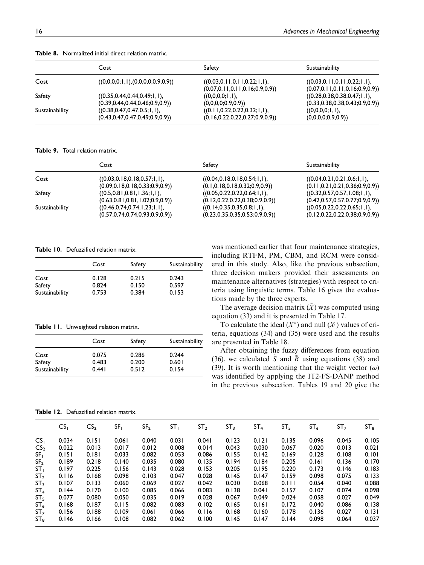|                | Cost                               | Safety                             | Sustainability                      |
|----------------|------------------------------------|------------------------------------|-------------------------------------|
| Cost           | ((0,0,0,0;1,1),(0,0,0,0;0.9,0.9))  | ((0.03, 0.11, 0.11, 0.22; 1, 1),   | ((0.03, 0.11, 0.11, 0.22; 1, 1))    |
|                |                                    | (0.07, 0.11, 0.11, 0.16, 0.9, 0.9) | (0.07, 0.11, 0.11, 0.16, 0.9, 0.9)) |
| Safety         | ((0.35, 0.44, 0.44, 0.49; 1, 1),   | ((0,0,0,0;1,1),                    | ((0.28, 0.38, 0.38, 0.47; 1, 1),    |
|                | (0.39, 0.44, 0.44, 0.46, 0.9, 0.9) | (0,0,0,0;0.9,0.9)                  | (0.33, 0.38, 0.38, 0.43, 0.9, 0.9)  |
| Sustainability | (0.38, 0.47, 0.47, 0.5; 1, 1),     | ((0.11, 0.22, 0.22, 0.32; 1, 1),   | ((0,0,0,0;1,1),                     |
|                | (0.43, 0.47, 0.47, 0.49, 0.9, 0.9) | (0.16, 0.22, 0.22, 0.27, 0.9, 0.9) | (0,0,0,0,0.9,0.9)                   |

Table 8. Normalized initial direct relation matrix.

Table 9. Total relation matrix.

|                | Cost                               | Safety                             | Sustainability                     |
|----------------|------------------------------------|------------------------------------|------------------------------------|
| Cost           | ((0.03, 0.18, 0.18, 0.57; 1, 1),   | ((0.04, 0.18, 0.18, 0.54; 1, 1),   | ((0.04, 0.21, 0.21, 0.6; 1, 1))    |
|                | (0.09, 0.18, 0.18, 0.33, 0.9, 0.9) | (0.1, 0.18, 0.18, 0.32, 0.9, 0.9)  | (0.11, 0.21, 0.21, 0.36, 0.9, 0.9) |
| Safety         | ((0.5, 0.81, 0.81, 1.36; 1, 1),    | ((0.05, 0.22, 0.22, 0.64; 1, 1),   | ((0.32, 0.57, 0.57, 1.08; 1, 1),   |
|                | (0.63, 0.81, 0.81, 1.02, 0.9, 0.9) | (0.12, 0.22, 0.22, 0.38, 0.9, 0.9) | (0.42, 0.57, 0.57, 0.77, 0.9, 0.9) |
| Sustainability | ((0.46, 0.74, 0.74, 1.23; 1, 1),   | ((0.14, 0.35, 0.35, 0.8; 1, 1))    | ((0.05, 0.22, 0.22, 0.65; 1, 1),   |
|                | (0.57, 0.74, 0.74, 0.93, 0.9, 0.9) | (0.23, 0.35, 0.35, 0.53, 0.9, 0.9) | (0.12, 0.22, 0.22, 0.38, 0.9, 0.9) |

Table 10. Defuzzified relation matrix.

|                | Cost  | Safety | Sustainability |
|----------------|-------|--------|----------------|
| Cost           | 0.128 | 0.215  | 0.243          |
| Safety         | 0.824 | 0.150  | 0.597          |
| Sustainability | 0.753 | 0.384  | 0.153          |

Table 11. Unweighted relation matrix.

|                          | Cost           | Safety         | Sustainability |
|--------------------------|----------------|----------------|----------------|
| Cost                     | 0.075          | 0.286          | 0.244          |
| Safety<br>Sustainability | 0.483<br>0.441 | 0.200<br>0.512 | 0.601<br>0.154 |

was mentioned earlier that four maintenance strategies, including RTFM, PM, CBM, and RCM were considered in this study. Also, like the previous subsection, three decision makers provided their assessments on maintenance alternatives (strategies) with respect to criteria using linguistic terms. Table 16 gives the evaluations made by the three experts.

The average decision matrix  $(X)$  was computed using equation (33) and it is presented in Table 17.

To calculate the ideal  $(X^*)$  and null  $(X^*)$  values of criteria, equations (34) and (35) were used and the results are presented in Table 18.

After obtaining the fuzzy differences from equation (36), we calculated  $\tilde{S}$  and  $\tilde{R}$  using equations (38) and (39). It is worth mentioning that the weight vector  $(\omega)$ was identified by applying the IT2-FS-DANP method in the previous subsection. Tables 19 and 20 give the

Table 12. Defuzzified relation matrix.

|                 | CS <sub>1</sub> | CS <sub>2</sub> | SF <sub>1</sub> | SF <sub>2</sub> | ST <sub>1</sub> | ST <sub>2</sub> | ST <sub>3</sub> | ST <sub>4</sub> | ST <sub>5</sub> | ST <sub>6</sub> | ST <sub>7</sub> | ST <sub>8</sub> |
|-----------------|-----------------|-----------------|-----------------|-----------------|-----------------|-----------------|-----------------|-----------------|-----------------|-----------------|-----------------|-----------------|
| CS <sub>1</sub> | 0.034           | 0.151           | 0.061           | 0.040           | 0.031           | 0.041           | 0.123           | 0.121           | 0.135           | 0.096           | 0.045           | 0.105           |
| CS <sub>2</sub> | 0.022           | 0.013           | 0.017           | 0.012           | 0.008           | 0.014           | 0.043           | 0.030           | 0.067           | 0.020           | 0.013           | 0.021           |
| SF <sub>1</sub> | 0.151           | 0.181           | 0.033           | 0.082           | 0.053           | 0.086           | 0.155           | 0.142           | 0.169           | 0.128           | 0.108           | 0.101           |
| SF <sub>2</sub> | 0.189           | 0.218           | 0.140           | 0.035           | 0.080           | 0.135           | 0.194           | 0.184           | 0.205           | 0.161           | 0.136           | 0.170           |
| ST <sub>1</sub> | 0.197           | 0.225           | 0.156           | 0.143           | 0.028           | 0.153           | 0.205           | 0.195           | 0.220           | 0.173           | 0.146           | 0.183           |
| ST <sub>2</sub> | 0.116           | 0.168           | 0.098           | 0.103           | 0.047           | 0.028           | 0.145           | 0.147           | 0.159           | 0.098           | 0.075           | 0.133           |
| ST <sub>3</sub> | 0.107           | 0.133           | 0.060           | 0.069           | 0.027           | 0.042           | 0.030           | 0.068           | 0.111           | 0.054           | 0.040           | 0.088           |
| ST <sub>4</sub> | 0.144           | 0.170           | 0.100           | 0.085           | 0.066           | 0.083           | 0.138           | 0.041           | 0.157           | 0.107           | 0.074           | 0.098           |
| ST <sub>5</sub> | 0.077           | 0.080           | 0.050           | 0.035           | 0.019           | 0.028           | 0.067           | 0.049           | 0.024           | 0.058           | 0.027           | 0.049           |
| ST <sub>6</sub> | 0.168           | 0.187           | 0.115           | 0.082           | 0.083           | 0.102           | 0.165           | 0.161           | 0.172           | 0.040           | 0.086           | 0.138           |
| ST <sub>7</sub> | 0.156           | 0.188           | 0.109           | 0.061           | 0.066           | 0.116           | 0.168           | 0.160           | 0.178           | 0.136           | 0.027           | 0.131           |
| $ST_8$          | 0.146           | 0.166           | 0.108           | 0.082           | 0.062           | 0.100           | 0.145           | 0.147           | 0.144           | 0.098           | 0.064           | 0.037           |
|                 |                 |                 |                 |                 |                 |                 |                 |                 |                 |                 |                 |                 |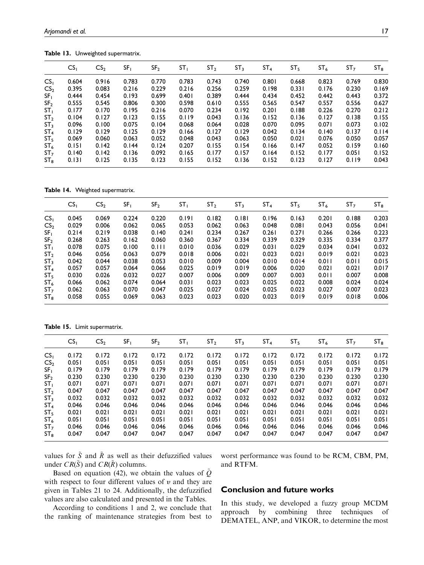|                 | CS <sub>1</sub> | CS <sub>2</sub> | SF <sub>1</sub> | SF <sub>2</sub> | ST <sub>1</sub> | ST <sub>2</sub> | ST <sub>3</sub> | ST <sub>4</sub> | ST <sub>5</sub> | ST <sub>6</sub> | ST <sub>7</sub> | ST <sub>8</sub> |
|-----------------|-----------------|-----------------|-----------------|-----------------|-----------------|-----------------|-----------------|-----------------|-----------------|-----------------|-----------------|-----------------|
| CS <sub>1</sub> | 0.604           | 0.916           | 0.783           | 0.770           | 0.783           | 0.743           | 0.740           | 0.801           | 0.668           | 0.823           | 0.769           | 0.830           |
| CS <sub>2</sub> | 0.395           | 0.083           | 0.216           | 0.229           | 0.216           | 0.256           | 0.259           | 0.198           | 0.331           | 0.176           | 0.230           | 0.169           |
| SF <sub>1</sub> | 0.444           | 0.454           | 0.193           | 0.699           | 0.401           | 0.389           | 0.444           | 0.434           | 0.452           | 0.442           | 0.443           | 0.372           |
| SF <sub>2</sub> | 0.555           | 0.545           | 0.806           | 0.300           | 0.598           | 0.610           | 0.555           | 0.565           | 0.547           | 0.557           | 0.556           | 0.627           |
| ST <sub>1</sub> | 0.177           | 0.170           | 0.195           | 0.216           | 0.070           | 0.234           | 0.192           | 0.201           | 0.188           | 0.226           | 0.270           | 0.212           |
| ST <sub>2</sub> | 0.104           | 0.127           | 0.123           | 0.155           | 0.119           | 0.043           | 0.136           | 0.152           | 0.136           | 0.127           | 0.138           | 0.155           |
| ST <sub>3</sub> | 0.096           | 0.100           | 0.075           | 0.104           | 0.068           | 0.064           | 0.028           | 0.070           | 0.095           | 0.071           | 0.073           | 0.102           |
| ST <sub>4</sub> | 0.129           | 0.129           | 0.125           | 0.129           | 0.166           | 0.127           | 0.129           | 0.042           | 0.134           | 0.140           | 0.137           | 0.114           |
| ST <sub>5</sub> | 0.069           | 0.060           | 0.063           | 0.052           | 0.048           | 0.043           | 0.063           | 0.050           | 0.021           | 0.076           | 0.050           | 0.057           |
| ST <sub>6</sub> | 0.151           | 0.142           | 0.144           | 0.124           | 0.207           | 0.155           | 0.154           | 0.166           | 0.147           | 0.052           | 0.159           | 0.160           |
| ST <sub>7</sub> | 0.140           | 0.142           | 0.136           | 0.092           | 0.165           | 0.177           | 0.157           | 0.164           | 0.152           | 0.177           | 0.051           | 0.152           |
| $ST_8$          | 0.131           | 0.125           | 0.135           | 0.123           | 0.155           | 0.152           | 0.136           | 0.152           | 0.123           | 0.127           | 0.119           | 0.043           |

Table 13. Unweighted supermatrix.

Table 14. Weighted supermatrix.

|                 | CS <sub>1</sub> | CS <sub>2</sub> | SF <sub>1</sub> | SF <sub>2</sub> | ST <sub>1</sub> | ST <sub>2</sub> | ST <sub>3</sub> | ST <sub>4</sub> | ST <sub>5</sub> | ST <sub>6</sub> | ST <sub>7</sub> | $ST_8$ |
|-----------------|-----------------|-----------------|-----------------|-----------------|-----------------|-----------------|-----------------|-----------------|-----------------|-----------------|-----------------|--------|
| CS <sub>1</sub> | 0.045           | 0.069           | 0.224           | 0.220           | 0.191           | 0.182           | 0.181           | 0.196           | 0.163           | 0.201           | 0.188           | 0.203  |
| CS <sub>2</sub> | 0.029           | 0.006           | 0.062           | 0.065           | 0.053           | 0.062           | 0.063           | 0.048           | 0.081           | 0.043           | 0.056           | 0.041  |
| SF <sub>1</sub> | 0.214           | 0.219           | 0.038           | 0.140           | 0.241           | 0.234           | 0.267           | 0.261           | 0.271           | 0.266           | 0.266           | 0.223  |
| SF <sub>2</sub> | 0.268           | 0.263           | 0.162           | 0.060           | 0.360           | 0.367           | 0.334           | 0.339           | 0.329           | 0.335           | 0.334           | 0.377  |
| ST <sub>1</sub> | 0.078           | 0.075           | 0.100           | 0.111           | 0.010           | 0.036           | 0.029           | 0.031           | 0.029           | 0.034           | 0.041           | 0.032  |
| ST <sub>2</sub> | 0.046           | 0.056           | 0.063           | 0.079           | 0.018           | 0.006           | 0.021           | 0.023           | 0.021           | 0.019           | 0.021           | 0.023  |
| ST <sub>3</sub> | 0.042           | 0.044           | 0.038           | 0.053           | 0.010           | 0.009           | 0.004           | 0.010           | 0.014           | 0.011           | 0.011           | 0.015  |
| ST <sub>4</sub> | 0.057           | 0.057           | 0.064           | 0.066           | 0.025           | 0.019           | 0.019           | 0.006           | 0.020           | 0.021           | 0.021           | 0.017  |
| ST <sub>5</sub> | 0.030           | 0.026           | 0.032           | 0.027           | 0.007           | 0.006           | 0.009           | 0.007           | 0.003           | 0.011           | 0.007           | 0.008  |
| ST <sub>6</sub> | 0.066           | 0.062           | 0.074           | 0.064           | 0.031           | 0.023           | 0.023           | 0.025           | 0.022           | 0.008           | 0.024           | 0.024  |
| ST <sub>7</sub> | 0.062           | 0.063           | 0.070           | 0.047           | 0.025           | 0.027           | 0.024           | 0.025           | 0.023           | 0.027           | 0.007           | 0.023  |
| $ST_8$          | 0.058           | 0.055           | 0.069           | 0.063           | 0.023           | 0.023           | 0.020           | 0.023           | 0.019           | 0.019           | 0.018           | 0.006  |

Table 15. Limit supermatrix.

|                 | CS <sub>1</sub> | CS <sub>2</sub> | SF <sub>1</sub> | SF <sub>2</sub> | ST <sub>1</sub> | ST <sub>2</sub> | ST <sub>3</sub> | ST <sub>4</sub> | ST <sub>5</sub> | ST <sub>6</sub> | ST <sub>7</sub> | ST <sub>8</sub> |
|-----------------|-----------------|-----------------|-----------------|-----------------|-----------------|-----------------|-----------------|-----------------|-----------------|-----------------|-----------------|-----------------|
| CS <sub>1</sub> | 0.172           | 0.172           | 0.172           | 0.172           | 0.172           | 0.172           | 0.172           | 0.172           | 0.172           | 0.172           | 0.172           | 0.172           |
| CS <sub>2</sub> | 0.051           | 0.051           | 0.051           | 0.051           | 0.051           | 0.051           | 0.051           | 0.051           | 0.051           | 0.051           | 0.051           | 0.051           |
| SF <sub>1</sub> | 0.179           | 0.179           | 0.179           | 0.179           | 0.179           | 0.179           | 0.179           | 0.179           | 0.179           | 0.179           | 0.179           | 0.179           |
| SF <sub>2</sub> | 0.230           | 0.230           | 0.230           | 0.230           | 0.230           | 0.230           | 0.230           | 0.230           | 0.230           | 0.230           | 0.230           | 0.230           |
| ST <sub>1</sub> | 0.071           | 0.071           | 0.071           | 0.071           | 0.071           | 0.071           | 0.071           | 0.071           | 0.071           | 0.071           | 0.071           | 0.071           |
| ST <sub>2</sub> | 0.047           | 0.047           | 0.047           | 0.047           | 0.047           | 0.047           | 0.047           | 0.047           | 0.047           | 0.047           | 0.047           | 0.047           |
| ST <sub>3</sub> | 0.032           | 0.032           | 0.032           | 0.032           | 0.032           | 0.032           | 0.032           | 0.032           | 0.032           | 0.032           | 0.032           | 0.032           |
| ST <sub>4</sub> | 0.046           | 0.046           | 0.046           | 0.046           | 0.046           | 0.046           | 0.046           | 0.046           | 0.046           | 0.046           | 0.046           | 0.046           |
| ST,             | 0.021           | 0.021           | 0.021           | 0.021           | 0.021           | 0.021           | 0.021           | 0.021           | 0.021           | 0.021           | 0.021           | 0.021           |
| $ST_6$          | 0.051           | 0.051           | 0.051           | 0.051           | 0.051           | 0.051           | 0.051           | 0.051           | 0.051           | 0.051           | 0.051           | 0.051           |
| ST <sub>7</sub> | 0.046           | 0.046           | 0.046           | 0.046           | 0.046           | 0.046           | 0.046           | 0.046           | 0.046           | 0.046           | 0.046           | 0.046           |
| $ST_{\rm R}$    | 0.047           | 0.047           | 0.047           | 0.047           | 0.047           | 0.047           | 0.047           | 0.047           | 0.047           | 0.047           | 0.047           | 0.047           |

values for  $\tilde{S}$  and  $\tilde{R}$  as well as their defuzzified values under  $CR(S)$  and  $CR(\tilde{R})$  columns.

Based on equation (42), we obtain the values of  $\tilde{Q}$ with respect to four different values of  $v$  and they are given in Tables 21 to 24. Additionally, the defuzzified values are also calculated and presented in the Tables.

According to conditions 1 and 2, we conclude that the ranking of maintenance strategies from best to worst performance was found to be RCM, CBM, PM, and RTFM.

#### Conclusion and future works

In this study, we developed a fuzzy group MCDM approach by combining three techniques of DEMATEL, ANP, and VIKOR, to determine the most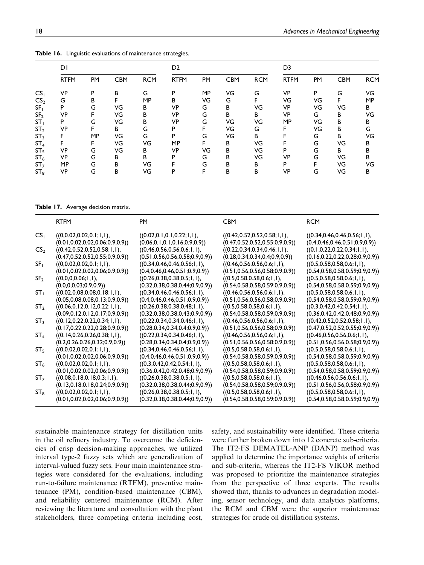|                 | <b>DI</b>   |           |            |            | D <sub>2</sub> |    |            | D <sub>3</sub> |             |    |            |            |
|-----------------|-------------|-----------|------------|------------|----------------|----|------------|----------------|-------------|----|------------|------------|
|                 | <b>RTFM</b> | <b>PM</b> | <b>CBM</b> | <b>RCM</b> | <b>RTFM</b>    | PM | <b>CBM</b> | <b>RCM</b>     | <b>RTFM</b> | PM | <b>CBM</b> | <b>RCM</b> |
| CS <sub>1</sub> | <b>VP</b>   | P         | B          | G          | P              | MP | VG         | G              | <b>VP</b>   | P  | G          | VG         |
| CS <sub>2</sub> | G           | В         |            | MP         | B              | VG | G          | F              | VG          | VG | F          | <b>MP</b>  |
| SF <sub>1</sub> | P           | G         | VG         | В          | <b>VP</b>      | G  | B          | VG             | <b>VP</b>   | VG | VG         | В          |
| SF <sub>2</sub> | <b>VP</b>   | F.        | VG         | В          | <b>VP</b>      | G  | B          | В              | <b>VP</b>   | G  | в          | VG         |
| ST <sub>1</sub> | P           | G         | VG         | В          | <b>VP</b>      | G  | VG         | VG             | MP          | VG | B          | В          |
| ST <sub>2</sub> | VP          | F         | B          | G          | P              | F  | VG         | G              |             | VG | B          | G          |
| ST <sub>3</sub> | F           | MP        | VG         | G          | P              | G  | VG         | B              |             | G  | B          | VG         |
| ST <sub>4</sub> | F           | F.        | VG         | VG         | MP             | F  | В          | VG             |             | G  | VG         | В          |
| ST <sub>5</sub> | <b>VP</b>   | G         | VG         | В          | VP             | VG | B          | VG             | P           | G  | B          | B          |
| ST <sub>6</sub> | VP.         | G         | B          | B          | P              | G  | B          | VG             | <b>VP</b>   | G  | VG         | B          |
| ST <sub>7</sub> | MP          | G         | B          | VG         |                | G  | B          | В              | P           | F  | VG         | VG         |
| $ST_8$          | VP          | G         | B          | VG         | P              | F  | B          | B              | VP          | G  | VG         | В          |

Table 16. Linguistic evaluations of maintenance strategies.

Table 17. Average decision matrix.

|                 | <b>RTFM</b>                         | PΜ                                 | CBM                                | <b>RCM</b>                         |
|-----------------|-------------------------------------|------------------------------------|------------------------------------|------------------------------------|
| CS <sub>1</sub> | ((0,0.02,0.02,0.1;1,1)),            | (0.02, 0.1, 0.1, 0.22; 1, 1),      | ((0.42, 0.52, 0.52, 0.58; 1, 1),   | ((0.34, 0.46, 0.46, 0.56; 1, 1),   |
|                 | (0.01, 0.02, 0.02, 0.06, 0.9, 0.9)  | (0.06, 0.1, 0.1, 0.16, 0.9, 0.9))  | (0.47, 0.52, 0.52, 0.55, 0.9, 0.9) | (0.4, 0.46, 0.46, 0.51, 0.9, 0.9)  |
| CS <sub>2</sub> | ((0.42, 0.52, 0.52, 0.58; 1, 1),    | ((0.46, 0.56, 0.56, 0.6; 1, 1),    | ((0.22, 0.34, 0.34, 0.46; 1, 1),   | ((0.1, 0.22, 0.22, 0.34; 1, 1),    |
|                 | (0.47, 0.52, 0.52, 0.55, 0.9, 0.9)  | (0.51, 0.56, 0.56, 0.58, 0.9, 0.9) | (0.28, 0.34, 0.34, 0.4, 0.9, 0.9)  | (0.16, 0.22, 0.22, 0.28, 0.9, 0.9) |
| SF,             | ((0,0.02,0.02,0.1;1,1)),            | ((0.34, 0.46, 0.46, 0.56; 1, 1),   | ((0.46, 0.56, 0.56, 0.6; 1, 1),    | ((0.5, 0.58, 0.58, 0.6; 1, 1),     |
|                 | (0.01, 0.02, 0.02, 0.06, 0.9, 0.9)  | (0.4, 0.46, 0.46, 0.51, 0.9, 0.9)  | (0.51, 0.56, 0.56, 0.58, 0.9, 0.9) | (0.54, 0.58, 0.58, 0.59, 0.9, 0.9) |
| SF <sub>2</sub> | ((0,0,0,0.06;1,1),                  | ((0.26, 0.38, 0.38, 0.5; 1, 1),    | ((0.5, 0.58, 0.58, 0.6; 1, 1),     | ((0.5, 0.58, 0.58, 0.6; 1, 1),     |
|                 | (0,0,0,0.03;0.9,0.9)                | (0.32, 0.38, 0.38, 0.44, 0.9, 0.9) | (0.54, 0.58, 0.58, 0.59, 0.9, 0.9) | (0.54, 0.58, 0.58, 0.59, 0.9, 0.9) |
| ST <sub>I</sub> | ((0.02, 0.08, 0.08, 0.18; 1, 1),    | ((0.34, 0.46, 0.46, 0.56; 1, 1),   | ((0.46, 0.56, 0.56, 0.6; 1, 1),    | ((0.5, 0.58, 0.58, 0.6; 1, 1),     |
| ST <sub>2</sub> | (0.05, 0.08, 0.08, 0.13, 0.9, 0.9)  | (0.4, 0.46, 0.46, 0.51, 0.9, 0.9)  | (0.51, 0.56, 0.56, 0.58, 0.9, 0.9) | (0.54, 0.58, 0.58, 0.59, 0.9, 0.9) |
|                 | ((0.06, 0.12, 0.12, 0.22; 1, 1),    | ((0.26, 0.38, 0.38, 0.48; 1, 1),   | ((0.5, 0.58, 0.58, 0.6; 1, 1),     | ((0.3, 0.42, 0.42, 0.54; 1, 1))    |
| SΤ,             | (0.09, 0.12, 0.12, 0.17, 0.9, 0.9)) | (0.32, 0.38, 0.38, 0.43, 0.9, 0.9) | (0.54, 0.58, 0.58, 0.59, 0.9, 0.9) | (0.36, 0.42, 0.42, 0.48, 0.9, 0.9) |
|                 | ((0.12, 0.22, 0.22, 0.34; 1, 1),    | ((0.22, 0.34, 0.34, 0.46; 1, 1),   | ((0.46, 0.56, 0.56, 0.6; 1, 1))    | ((0.42, 0.52, 0.52, 0.58; 1, 1),   |
| SI <sub>4</sub> | (0.17, 0.22, 0.22, 0.28, 0.9, 0.9)  | (0.28, 0.34, 0.34, 0.4, 0.9, 0.9)  | (0.51, 0.56, 0.56, 0.58, 0.9, 0.9) | (0.47, 0.52, 0.52, 0.55, 0.9, 0.9) |
|                 | ((0.14, 0.26, 0.26, 0.38; 1, 1))    | ((0.22, 0.34, 0.34, 0.46; 1, 1),   | ((0.46, 0.56, 0.56, 0.6; 1, 1))    | ((0.46, 0.56, 0.56, 0.6; 1, 1))    |
| SI5.            | (0.2, 0.26, 0.26, 0.32, 0.9, 0.9)   | (0.28, 0.34, 0.34, 0.4, 0.9, 0.9)  | (0.51, 0.56, 0.56, 0.58, 0.9, 0.9) | (0.51, 0.56, 0.56, 0.58, 0.9, 0.9) |
|                 | ((0,0.02,0.02,0.1;1,1),             | ((0.34, 0.46, 0.46, 0.56; 1, 1),   | ((0.5, 0.58, 0.58, 0.6; 1, 1),     | ((0.5, 0.58, 0.58, 0.6; 1, 1),     |
| 5 آ S           | (0.01, 0.02, 0.02, 0.06, 0.9, 0.9)) | (0.4, 0.46, 0.46, 0.51, 0.9, 0.9)) | (0.54, 0.58, 0.58, 0.59, 0.9, 0.9) | (0.54, 0.58, 0.58, 0.59, 0.9, 0.9) |
|                 | ((0,0.02,0.02,0.1;1,1)),            | ((0.3, 0.42, 0.42, 0.54; 1, 1),    | ((0.5, 0.58, 0.58, 0.6; 1, 1),     | ((0.5, 0.58, 0.58, 0.6; 1, 1),     |
| S17             | (0.01, 0.02, 0.02, 0.06, 0.9, 0.9)  | (0.36, 0.42, 0.42, 0.48, 0.9, 0.9) | (0.54, 0.58, 0.58, 0.59, 0.9, 0.9) | (0.54, 0.58, 0.58, 0.59, 0.9, 0.9) |
|                 | ((0.08, 0.18, 0.18, 0.3; 1, 1),     | ((0.26, 0.38, 0.38, 0.5; 1, 1),    | ((0.5, 0.58, 0.58, 0.6; 1, 1),     | ((0.46, 0.56, 0.56, 0.6; 1, 1))    |
| SI <sub>R</sub> | (0.13, 0.18, 0.18, 0.24, 0.9, 0.9)  | (0.32, 0.38, 0.38, 0.44, 0.9, 0.9) | (0.54, 0.58, 0.58, 0.59, 0.9, 0.9) | (0.51, 0.56, 0.56, 0.58, 0.9, 0.9) |
|                 | ((0,0.02,0.02,0.1;1,1),             | ((0.26, 0.38, 0.38, 0.5; 1, 1),    | ((0.5, 0.58, 0.58, 0.6; 1, 1),     | ((0.5, 0.58, 0.58, 0.6; 1, 1),     |
|                 | (0.01, 0.02, 0.02, 0.06, 0.9, 0.9)  | (0.32, 0.38, 0.38, 0.44, 0.9, 0.9) | (0.54, 0.58, 0.58, 0.59, 0.9, 0.9) | (0.54, 0.58, 0.58, 0.59, 0.9, 0.9) |

sustainable maintenance strategy for distillation units in the oil refinery industry. To overcome the deficiencies of crisp decision-making approaches, we utilized interval type-2 fuzzy sets which are generalization of interval-valued fuzzy sets. Four main maintenance strategies were considered for the evaluations, including run-to-failure maintenance (RTFM), preventive maintenance (PM), condition-based maintenance (CBM), and reliability centered maintenance (RCM). After reviewing the literature and consultation with the plant stakeholders, three competing criteria including cost, safety, and sustainability were identified. These criteria were further broken down into 12 concrete sub-criteria. The IT2-FS DEMATEL-ANP (DANP) method was applied to determine the importance weights of criteria and sub-criteria, whereas the IT2-FS VIKOR method was proposed to prioritize the maintenance strategies from the perspective of three experts. The results showed that, thanks to advances in degradation modeling, sensor technology, and data analytics platforms, the RCM and CBM were the superior maintenance strategies for crude oil distillation systems.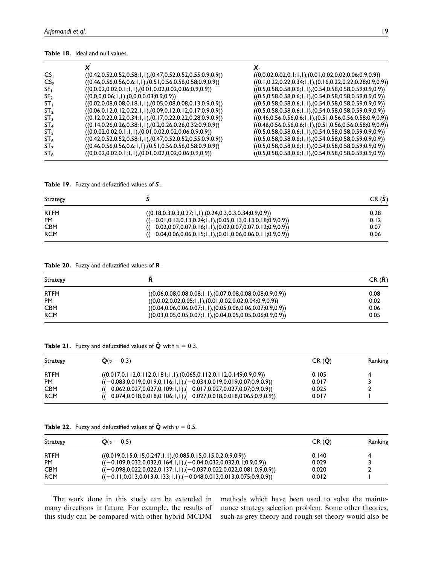#### Table 18. Ideal and null values.

|                                                                        | χ.                                                                                                                                                                                                                       |
|------------------------------------------------------------------------|--------------------------------------------------------------------------------------------------------------------------------------------------------------------------------------------------------------------------|
| $((0.42, 0.52, 0.52, 0.58; 1, 1), (0.47, 0.52, 0.52, 0.55; 0.9, 0.9))$ | $((0,0.02,0.02,0.1;1,1),(0.01,0.02,0.02,0.06;0.9,0.9))$                                                                                                                                                                  |
|                                                                        | $((0.1, 0.22, 0.22, 0.34; 1, 1), (0.16, 0.22, 0.22, 0.28; 0.9, 0.9))$                                                                                                                                                    |
| $((0,0.02,0.02,0.1;1,1),(0.01,0.02,0.02,0.06;0.9,0.9))$                | $((0.5, 0.58, 0.58, 0.6; 1, 1), (0.54, 0.58, 0.58, 0.59; 0.9, 0.9))$                                                                                                                                                     |
| $((0,0,0,0.06;1,1),(0,0,0,0.03;0.9,0.9))$                              | $((0.5, 0.58, 0.58, 0.6; 1, 1), (0.54, 0.58, 0.58, 0.59; 0.9, 0.9))$                                                                                                                                                     |
| $((0.02, 0.08, 0.08, 0.18; 1, 1), (0.05, 0.08, 0.08, 0.13; 0.9, 0.9))$ | $((0.5, 0.58, 0.58, 0.6; 1, 1), (0.54, 0.58, 0.58, 0.59; 0.9, 0.9))$                                                                                                                                                     |
| $((0.06, 0.12, 0.12, 0.22; 1, 1), (0.09, 0.12, 0.12, 0.17; 0.9, 0.9))$ | $((0.5, 0.58, 0.58, 0.6; 1, 1), (0.54, 0.58, 0.58, 0.59; 0.9, 0.9))$                                                                                                                                                     |
|                                                                        | $((0.46, 0.56, 0.56, 0.6; 1, 1), (0.51, 0.56, 0.56, 0.58; 0.9, 0.9))$                                                                                                                                                    |
|                                                                        | $((0.46, 0.56, 0.56, 0.6; 1, 1), (0.51, 0.56, 0.56, 0.58; 0.9, 0.9))$                                                                                                                                                    |
| $((0,0.02,0.02,0.1;1,1),(0.01,0.02,0.02,0.06;0.9,0.9))$                | $((0.5, 0.58, 0.58, 0.6; 1, 1), (0.54, 0.58, 0.58, 0.59; 0.9, 0.9))$                                                                                                                                                     |
| $((0.42, 0.52, 0.52, 0.58; 1, 1), (0.47, 0.52, 0.52, 0.55; 0.9, 0.9))$ | $((0.5, 0.58, 0.58, 0.6; 1, 1), (0.54, 0.58, 0.58, 0.59; 0.9, 0.9))$                                                                                                                                                     |
| $((0.46, 0.56, 0.56, 0.6; 1, 1), (0.51, 0.56, 0.56, 0.58; 0.9, 0.9))$  | $((0.5, 0.58, 0.58, 0.6; 1, 1), (0.54, 0.58, 0.58, 0.59; 0.9, 0.9))$                                                                                                                                                     |
| $((0,0.02,0.02,0.1;1,1),(0.01,0.02,0.02,0.06;0.9,0.9))$                | $((0.5, 0.58, 0.58, 0.6; 1, 1), (0.54, 0.58, 0.58, 0.59; 0.9, 0.9))$                                                                                                                                                     |
|                                                                        | $((0.46, 0.56, 0.56, 0.6; 1, 1), (0.51, 0.56, 0.56, 0.58; 0.9, 0.9))$<br>$((0.12, 0.22, 0.22, 0.34; 1, 1), (0.17, 0.22, 0.22, 0.28; 0.9, 0.9))$<br>$((0.14, 0.26, 0.26, 0.38; 1, 1), (0.2, 0.26, 0.26, 0.32; 0.9, 0.9))$ |

Table 19. Fuzzy and defuzzified values of  $\tilde{S}$ .

| <b>Strategy</b> |                                                                         | CR(S) |
|-----------------|-------------------------------------------------------------------------|-------|
| <b>RTFM</b>     | $((0.18, 0.3, 0.3, 0.37; 1, 1), (0.24, 0.3, 0.3, 0.34; 0.9, 0.9))$      | 0.28  |
| <b>PM</b>       | $((-0.01, 0.13, 0.13, 0.24; 1, 1), (0.05, 0.13, 0.13, 0.18; 0.9, 0.9))$ | 0.12  |
| <b>CBM</b>      | $((-0.02, 0.07, 0.07, 0.16; 1, 1), (0.02, 0.07, 0.07, 0.12; 0.9, 0.9))$ | 0.07  |
| <b>RCM</b>      | $((-0.04, 0.06, 0.06, 0.15; 1, 1), (0.01, 0.06, 0.06, 0.11; 0.9, 0.9))$ | 0.06  |

Table 20. Fuzzy and defuzzified values of  $\tilde{R}$ .

| <b>Strategy</b> |                                                                        | CR(R) |
|-----------------|------------------------------------------------------------------------|-------|
| <b>RTFM</b>     | $((0.06, 0.08, 0.08, 0.08, 1, 1), (0.07, 0.08, 0.08, 0.08, 0.9, 0.9))$ | 0.08  |
| <b>PM</b>       | $((0,0.02,0.02,0.05;1,1),(0.01,0.02,0.02,0.04;0.9,0.9))$               | 0.02  |
| <b>CBM</b>      | $((0.04, 0.06, 0.06, 0.07; 1, 1), (0.05, 0.06, 0.06, 0.07; 0.9, 0.9))$ | 0.06  |
| <b>RCM</b>      | $((0.03, 0.05, 0.05, 0.07; 1, 1), (0.04, 0.05, 0.05, 0.06; 0.9, 0.9))$ | 0.05  |

**Table 21.** Fuzzy and defuzzified values of  $\tilde{Q}$  with  $v = 0.3$ .

| Strategy    | $Q(v = 0.3)$                                                                     | CR(0) | Ranking |
|-------------|----------------------------------------------------------------------------------|-------|---------|
| <b>RTFM</b> | $((0.017, 0.112, 0.112, 0.181; 1, 1), (0.065, 0.112, 0.112, 0.149; 0.9, 0.9))$   | 0.105 |         |
| <b>PM</b>   | $((-0.083, 0.019, 0.019, 0.116; 1, 1), (-0.034, 0.019, 0.019, 0.07; 0.9, 0.9))$  | 0.017 |         |
| <b>CBM</b>  | $((-0.062, 0.027, 0.027, 0.109; 1, 1), (-0.017, 0.027, 0.027, 0.07; 0.9, 0.9))$  | 0.025 |         |
| <b>RCM</b>  | $((-0.074, 0.018, 0.018, 0.106; 1, 1), (-0.027, 0.018, 0.018, 0.065; 0.9, 0.9))$ | 0.017 |         |

| <b>Table 22.</b> Fuzzy and defuzzified values of <b>Q</b> with $v = 0.5$ . |  |  |  |
|----------------------------------------------------------------------------|--|--|--|

| Strategy    | $Q(v = 0.5)$                                                                     | CR(0) | Ranking |
|-------------|----------------------------------------------------------------------------------|-------|---------|
| <b>RTFM</b> | $((0.019, 0.15, 0.15, 0.247; 1, 1), (0.085, 0.15, 0.15, 0.2; 0.9, 0.9))$         | 0.140 |         |
| <b>PM</b>   | $((-0.109, 0.032, 0.032, 0.164; 1, 1), (-0.04, 0.032, 0.032, 0.1; 0.9, 0.9))$    | 0.029 |         |
| <b>CBM</b>  | $((-0.098, 0.022, 0.022, 0.137; 1, 1), (-0.037, 0.022, 0.022, 0.081; 0.9, 0.9))$ | 0.020 |         |
| <b>RCM</b>  | $((-0.11, 0.013, 0.013, 0.133; 1, 1), (-0.048, 0.013, 0.013, 0.075; 0.9, 0.9))$  | 0.012 |         |

The work done in this study can be extended in many directions in future. For example, the results of this study can be compared with other hybrid MCDM

methods which have been used to solve the maintenance strategy selection problem. Some other theories, such as grey theory and rough set theory would also be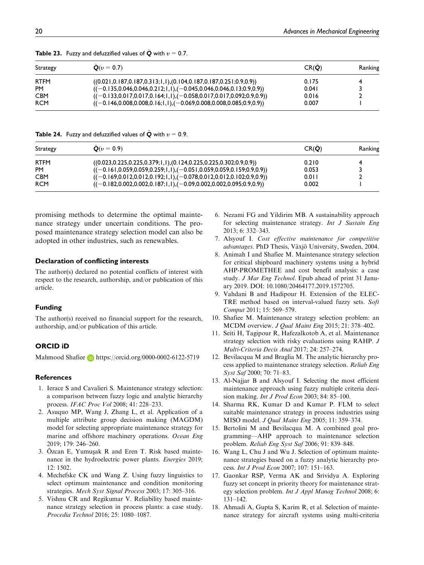| Strategy | $Q(v = 0.7)$                                                                     | CR(O) | Ranking |
|----------|----------------------------------------------------------------------------------|-------|---------|
| rtfm     | $((0.021, 0.187, 0.187, 0.313; 1, 1), (0.104, 0.187, 0.187, 0.251; 0.9, 0.9))$   | 0.175 |         |
| PM       | $((-0.135, 0.046, 0.046, 0.212; 1, 1), (-0.045, 0.046, 0.046, 0.13; 0.9, 0.9))$  | 0.041 |         |
| CBM      | $((-0.133, 0.017, 0.017, 0.164; 1, 1), (-0.058, 0.017, 0.017, 0.092; 0.9, 0.9))$ | 0.016 |         |
| RCM      | $((-0.146, 0.008, 0.008, 0.16; 1, 1), (-0.069, 0.008, 0.008, 0.085; 0.9, 0.9))$  | 0.007 |         |
|          |                                                                                  |       |         |

**Table 23.** Fuzzy and defuzzified values of  $\tilde{Q}$  with  $v = 0.7$ .

**Table 24.** Fuzzy and defuzzified values of  $\dot{Q}$  with  $v = 0.9$ .

| Strategy    | $Q(v = 0.9)$                                                                     | CR(Q) | Ranking |
|-------------|----------------------------------------------------------------------------------|-------|---------|
| <b>RTFM</b> | $((0.023, 0.225, 0.225, 0.379; 1, 1), (0.124, 0.225, 0.225, 0.302; 0.9, 0.9))$   | 0.210 |         |
| <b>PM</b>   | $((-0.161, 0.059, 0.059, 0.259; 1, 1), (-0.051, 0.059, 0.059, 0.159; 0.9, 0.9))$ | 0.053 |         |
| <b>CBM</b>  | $((-0.169, 0.012, 0.012, 0.192; 1, 1), (-0.078, 0.012, 0.012, 0.102; 0.9, 0.9))$ | 0.011 |         |
| <b>RCM</b>  | $((-0.182, 0.002, 0.002, 0.187; 1, 1), (-0.09, 0.002, 0.002, 0.095; 0.9, 0.9))$  | 0.002 |         |

promising methods to determine the optimal maintenance strategy under uncertain conditions. The proposed maintenance strategy selection model can also be adopted in other industries, such as renewables.

#### Declaration of conflicting interests

The author(s) declared no potential conflicts of interest with respect to the research, authorship, and/or publication of this article.

#### Funding

The author(s) received no financial support for the research, authorship, and/or publication of this article.

#### ORCID iD

Mahmood Shafiee **b** <https://orcid.org/0000-0002-6122-5719>

#### References

- 1. Ierace S and Cavalieri S. Maintenance strategy selection: a comparison between fuzzy logic and analytic hierarchy process. IFAC Proc Vol 2008; 41: 228–233.
- 2. Asuquo MP, Wang J, Zhang L, et al. Application of a multiple attribute group decision making (MAGDM) model for selecting appropriate maintenance strategy for marine and offshore machinery operations. Ocean Eng 2019; 179: 246–260.
- 3. Özcan E, Yumuşak R and Eren T. Risk based maintenance in the hydroelectric power plants. Energies 2019; 12: 1502.
- 4. Mechefske CK and Wang Z. Using fuzzy linguistics to select optimum maintenance and condition monitoring strategies. Mech Syst Signal Process 2003; 17: 305–316.
- 5. Vishnu CR and Regikumar V. Reliability based maintenance strategy selection in process plants: a case study. Procedia Technol 2016; 25: 1080–1087.
- 6. Nezami FG and Yildirim MB. A sustainability approach for selecting maintenance strategy. Int J Sustain Eng 2013; 6: 332–343.
- 7. Alsyouf I. Cost effective maintenance for competitive advantages. PhD Thesis, Växjö University, Sweden, 2004.
- 8. Animah I and Shafiee M. Maintenance strategy selection for critical shipboard machinery systems using a hybrid AHP-PROMETHEE and cost benefit analysis: a case study. J Mar Eng Technol. Epub ahead of print 31 January 2019. DOI: 10.1080/20464177.2019.1572705.
- 9. Vahdani B and Hadipour H. Extension of the ELEC-TRE method based on interval-valued fuzzy sets. Soft Comput 2011; 15: 569–579.
- 10. Shafiee M. Maintenance strategy selection problem: an MCDM overview. J Qual Maint Eng 2015; 21: 378–402.
- 11. Seiti H, Tagipour R, Hafezalkotob A, et al. Maintenance strategy selection with risky evaluations using RAHP. J Multi-Criteria Decis Anal 2017; 24: 257–274.
- 12. Bevilacqua M and Braglia M. The analytic hierarchy process applied to maintenance strategy selection. Reliab Eng Syst Saf 2000; 70: 71–83.
- 13. Al-Najjar B and Alsyouf I. Selecting the most efficient maintenance approach using fuzzy multiple criteria decision making. Int J Prod Econ 2003; 84: 85–100.
- 14. Sharma RK, Kumar D and Kumar P. FLM to select suitable maintenance strategy in process industries using MISO model. J Qual Maint Eng 2005; 11: 359–374.
- 15. Bertolini M and Bevilacqua M. A combined goal programming—AHP approach to maintenance selection problem. Reliab Eng Syst Saf 2006; 91: 839–848.
- 16. Wang L, Chu J and Wu J. Selection of optimum maintenance strategies based on a fuzzy analytic hierarchy process. Int J Prod Econ 2007; 107: 151–163.
- 17. Gaonkar RSP, Verma AK and Srividya A. Exploring fuzzy set concept in priority theory for maintenance strategy selection problem. Int J Appl Manag Technol 2008; 6: 131–142.
- 18. Ahmadi A, Gupta S, Karim R, et al. Selection of maintenance strategy for aircraft systems using multi-criteria